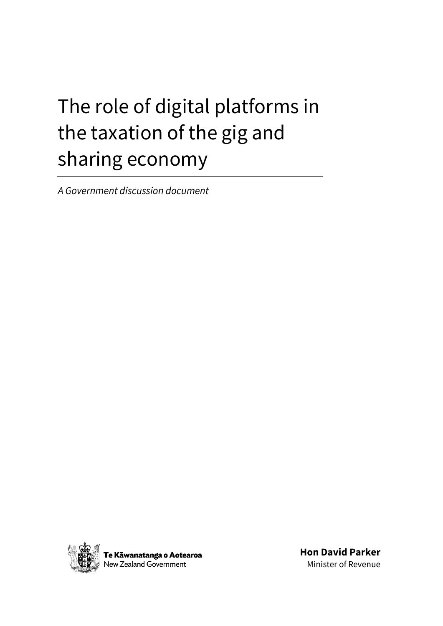# The role of digital platforms in the taxation of the gig and sharing economy

*A Government discussion document*



**Hon David Parker** Minister of Revenue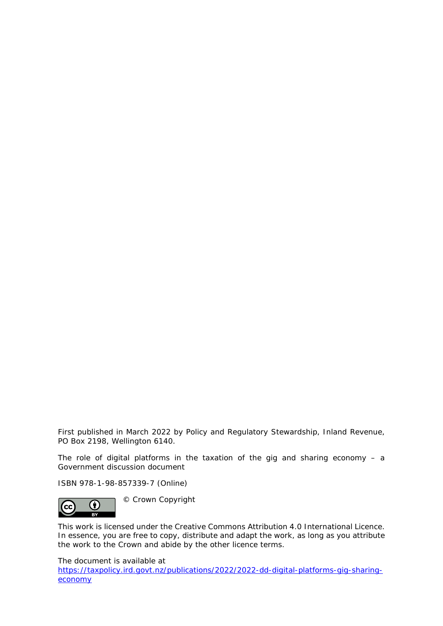First published in March 2022 by Policy and Regulatory Stewardship, Inland Revenue, PO Box 2198, Wellington 6140.

The role of digital platforms in the taxation of the gig and sharing economy  $-$  a Government discussion document

ISBN 978-1-98-857339-7 (Online)



© Crown Copyright

This work is licensed under the Creative Commons Attribution 4.0 International Licence. In essence, you are free to copy, distribute and adapt the work, as long as you attribute the work to the Crown and abide by the other licence terms.

The document is available at

[https://taxpolicy.ird.govt.nz/publications/2022/2022-dd-digital-platforms-gig-sharing](https://taxpolicy.ird.govt.nz/publications/2022/2022-dd-digital-platforms-gig-sharing-economy)[economy](https://taxpolicy.ird.govt.nz/publications/2022/2022-dd-digital-platforms-gig-sharing-economy)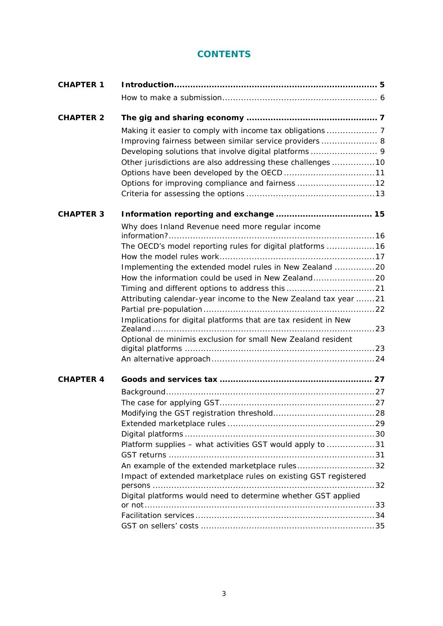# **CONTENTS**

| <b>CHAPTER 1</b> |                                                                 |  |  |
|------------------|-----------------------------------------------------------------|--|--|
|                  |                                                                 |  |  |
| <b>CHAPTER 2</b> |                                                                 |  |  |
|                  |                                                                 |  |  |
|                  | Improving fairness between similar service providers  8         |  |  |
|                  |                                                                 |  |  |
|                  | Other jurisdictions are also addressing these challenges 10     |  |  |
|                  |                                                                 |  |  |
|                  | Options for improving compliance and fairness 12                |  |  |
|                  |                                                                 |  |  |
| <b>CHAPTER 3</b> |                                                                 |  |  |
|                  | Why does Inland Revenue need more regular income                |  |  |
|                  |                                                                 |  |  |
|                  | The OECD's model reporting rules for digital platforms  16      |  |  |
|                  |                                                                 |  |  |
|                  | Implementing the extended model rules in New Zealand 20         |  |  |
|                  |                                                                 |  |  |
|                  |                                                                 |  |  |
|                  | Attributing calendar-year income to the New Zealand tax year 21 |  |  |
|                  |                                                                 |  |  |
|                  | Implications for digital platforms that are tax resident in New |  |  |
|                  | Optional de minimis exclusion for small New Zealand resident    |  |  |
|                  |                                                                 |  |  |
|                  |                                                                 |  |  |
|                  |                                                                 |  |  |
| <b>CHAPTER 4</b> |                                                                 |  |  |
|                  |                                                                 |  |  |
|                  |                                                                 |  |  |
|                  |                                                                 |  |  |
|                  |                                                                 |  |  |
|                  |                                                                 |  |  |
|                  | Platform supplies - what activities GST would apply to 31       |  |  |
|                  |                                                                 |  |  |
|                  | An example of the extended marketplace rules32                  |  |  |
|                  | Impact of extended marketplace rules on existing GST registered |  |  |
|                  |                                                                 |  |  |
|                  | Digital platforms would need to determine whether GST applied   |  |  |
|                  |                                                                 |  |  |
|                  |                                                                 |  |  |
|                  |                                                                 |  |  |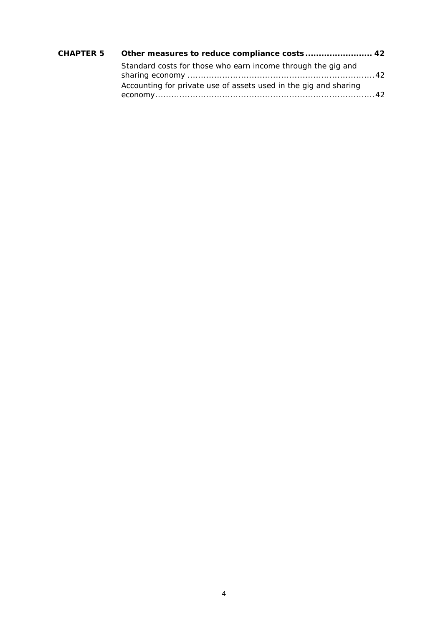| CHAPTER 5 Other measures to reduce compliance costs 42           |  |
|------------------------------------------------------------------|--|
| Standard costs for those who earn income through the gig and     |  |
| Accounting for private use of assets used in the gig and sharing |  |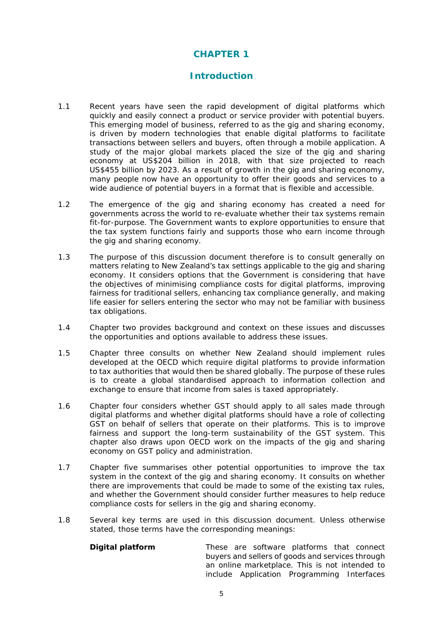# **CHAPTER 1**

## **Introduction**

- <span id="page-4-0"></span>1.1 Recent years have seen the rapid development of digital platforms which quickly and easily connect a product or service provider with potential buyers. This emerging model of business, referred to as the gig and sharing economy, is driven by modern technologies that enable digital platforms to facilitate transactions between sellers and buyers, often through a mobile application. A study of the major global markets placed the size of the gig and sharing economy at US\$204 billion in 2018, with that size projected to reach US\$455 billion by 2023. As a result of growth in the gig and sharing economy, many people now have an opportunity to offer their goods and services to a wide audience of potential buyers in a format that is flexible and accessible.
- 1.2 The emergence of the gig and sharing economy has created a need for governments across the world to re-evaluate whether their tax systems remain fit-for-purpose. The Government wants to explore opportunities to ensure that the tax system functions fairly and supports those who earn income through the gig and sharing economy.
- 1.3 The purpose of this discussion document therefore is to consult generally on matters relating to New Zealand's tax settings applicable to the gig and sharing economy. It considers options that the Government is considering that have the objectives of minimising compliance costs for digital platforms, improving fairness for traditional sellers, enhancing tax compliance generally, and making life easier for sellers entering the sector who may not be familiar with business tax obligations.
- 1.4 Chapter two provides background and context on these issues and discusses the opportunities and options available to address these issues.
- 1.5 Chapter three consults on whether New Zealand should implement rules developed at the OECD which require digital platforms to provide information to tax authorities that would then be shared globally. The purpose of these rules is to create a global standardised approach to information collection and exchange to ensure that income from sales is taxed appropriately.
- 1.6 Chapter four considers whether GST should apply to all sales made through digital platforms and whether digital platforms should have a role of collecting GST on behalf of sellers that operate on their platforms. This is to improve fairness and support the long-term sustainability of the GST system. This chapter also draws upon OECD work on the impacts of the gig and sharing economy on GST policy and administration.
- 1.7 Chapter five summarises other potential opportunities to improve the tax system in the context of the gig and sharing economy. It consults on whether there are improvements that could be made to some of the existing tax rules, and whether the Government should consider further measures to help reduce compliance costs for sellers in the gig and sharing economy.
- 1.8 Several key terms are used in this discussion document. Unless otherwise stated, those terms have the corresponding meanings:

**Digital platform** These are software platforms that connect buyers and sellers of goods and services through an online marketplace. This is not intended to include Application Programming Interfaces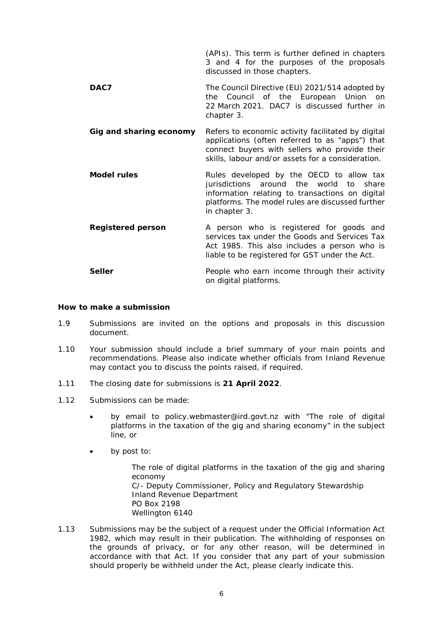(APIs). This term is further defined in chapters 3 and 4 for the purposes of the proposals discussed in those chapters.

- **DAC7** The Council Directive (EU) 2021/514 adopted by the Council of the European Union on 22 March 2021. DAC7 is discussed further in chapter 3.
- **Gig and sharing economy** Refers to economic activity facilitated by digital applications (often referred to as "apps") that connect buyers with sellers who provide their skills, labour and/or assets for a consideration.
- **Model rules Rules** developed by the OECD to allow tax jurisdictions around the world to share information relating to transactions on digital platforms. The model rules are discussed further in chapter 3.
- **Registered person** A person who is registered for goods and services tax under the Goods and Services Tax Act 1985. This also includes a person who is liable to be registered for GST under the Act.
- **Seller People who earn income through their activity** on digital platforms.

#### <span id="page-5-0"></span>**How to make a submission**

- 1.9 Submissions are invited on the options and proposals in this discussion document.
- 1.10 Your submission should include a brief summary of your main points and recommendations. Please also indicate whether officials from Inland Revenue may contact you to discuss the points raised, if required.
- 1.11 The closing date for submissions is **21 April 2022**.
- 1.12 Submissions can be made:
	- by email to policy.webmaster@ird.govt.nz with "The role of digital platforms in the taxation of the gig and sharing economy" in the subject line, or
	- by post to:

The role of digital platforms in the taxation of the gig and sharing economy C/- Deputy Commissioner, Policy and Regulatory Stewardship Inland Revenue Department PO Box 2198 Wellington 6140

1.13 Submissions may be the subject of a request under the Official Information Act 1982, which may result in their publication. The withholding of responses on the grounds of privacy, or for any other reason, will be determined in accordance with that Act. If you consider that any part of your submission should properly be withheld under the Act, please clearly indicate this.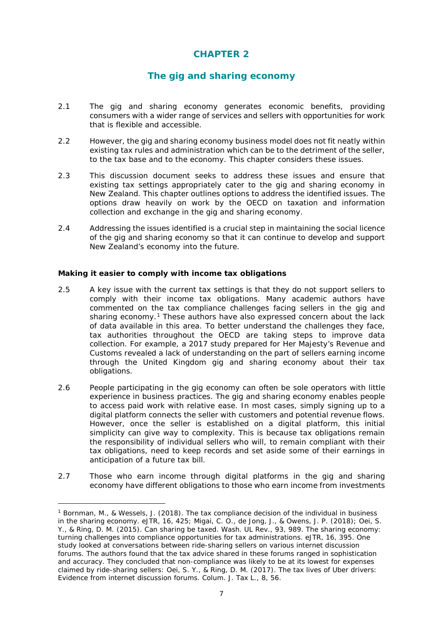# **CHAPTER 2**

# **The gig and sharing economy**

- <span id="page-6-0"></span>2.1 The gig and sharing economy generates economic benefits, providing consumers with a wider range of services and sellers with opportunities for work that is flexible and accessible.
- 2.2 However, the gig and sharing economy business model does not fit neatly within existing tax rules and administration which can be to the detriment of the seller, to the tax base and to the economy. This chapter considers these issues.
- 2.3 This discussion document seeks to address these issues and ensure that existing tax settings appropriately cater to the gig and sharing economy in New Zealand. This chapter outlines options to address the identified issues. The options draw heavily on work by the OECD on taxation and information collection and exchange in the gig and sharing economy.
- 2.4 Addressing the issues identified is a crucial step in maintaining the social licence of the gig and sharing economy so that it can continue to develop and support New Zealand's economy into the future.

#### <span id="page-6-1"></span>**Making it easier to comply with income tax obligations**

- 2.5 A key issue with the current tax settings is that they do not support sellers to comply with their income tax obligations. Many academic authors have commented on the tax compliance challenges facing sellers in the gig and sharing economy.<sup>[1](#page-6-2)</sup> These authors have also expressed concern about the lack of data available in this area. To better understand the challenges they face, tax authorities throughout the OECD are taking steps to improve data collection. For example, a 2017 study prepared for Her Majesty's Revenue and Customs revealed a lack of understanding on the part of sellers earning income through the United Kingdom gig and sharing economy about their tax obligations.
- 2.6 People participating in the gig economy can often be sole operators with little experience in business practices. The gig and sharing economy enables people to access paid work with relative ease. In most cases, simply signing up to a digital platform connects the seller with customers and potential revenue flows. However, once the seller is established on a digital platform, this initial simplicity can give way to complexity. This is because tax obligations remain the responsibility of individual sellers who will, to remain compliant with their tax obligations, need to keep records and set aside some of their earnings in anticipation of a future tax bill.
- 2.7 Those who earn income through digital platforms in the gig and sharing economy have different obligations to those who earn income from investments

<span id="page-6-2"></span><sup>1</sup> Bornman, M., & Wessels, J. (2018). *The tax compliance decision of the individual in business in the sharing economy*. eJTR, 16, 425; Migai, C. O., de Jong, J., & Owens, J. P. (2018); Oei, S. Y., & Ring, D. M. (2015). *Can sharing be taxed*. Wash. UL Rev., 93, 989. *The sharing economy: turning challenges into compliance opportunities for tax administrations*. eJTR, 16, 395. One study looked at conversations between ride-sharing sellers on various internet discussion forums. The authors found that the tax advice shared in these forums ranged in sophistication and accuracy. They concluded that non-compliance was likely to be at its lowest for expenses claimed by ride-sharing sellers: Oei, S. Y., & Ring, D. M. (2017). *The tax lives of Uber drivers: Evidence from internet discussion forums*. Colum. J. Tax L., 8, 56.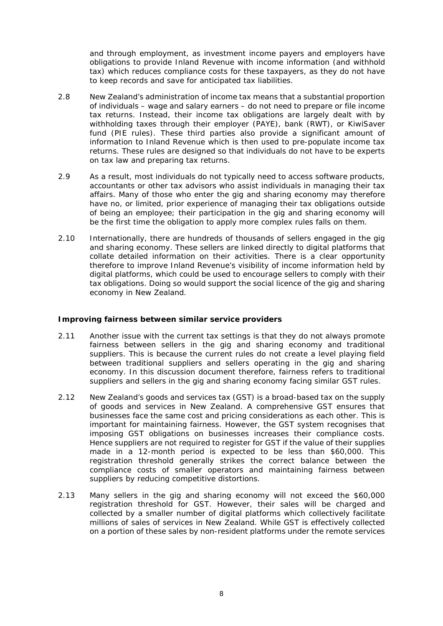and through employment, as investment income payers and employers have obligations to provide Inland Revenue with income information (and withhold tax) which reduces compliance costs for these taxpayers, as they do not have to keep records and save for anticipated tax liabilities.

- 2.8 New Zealand's administration of income tax means that a substantial proportion of individuals – wage and salary earners – do not need to prepare or file income tax returns. Instead, their income tax obligations are largely dealt with by withholding taxes through their employer (PAYE), bank (RWT), or KiwiSaver fund (PIE rules). These third parties also provide a significant amount of information to Inland Revenue which is then used to pre-populate income tax returns. These rules are designed so that individuals do not have to be experts on tax law and preparing tax returns.
- 2.9 As a result, most individuals do not typically need to access software products, accountants or other tax advisors who assist individuals in managing their tax affairs. Many of those who enter the gig and sharing economy may therefore have no, or limited, prior experience of managing their tax obligations outside of being an employee; their participation in the gig and sharing economy will be the first time the obligation to apply more complex rules falls on them.
- 2.10 Internationally, there are hundreds of thousands of sellers engaged in the gig and sharing economy. These sellers are linked directly to digital platforms that collate detailed information on their activities. There is a clear opportunity therefore to improve Inland Revenue's visibility of income information held by digital platforms, which could be used to encourage sellers to comply with their tax obligations. Doing so would support the social licence of the gig and sharing economy in New Zealand.

#### <span id="page-7-0"></span>**Improving fairness between similar service providers**

- 2.11 Another issue with the current tax settings is that they do not always promote fairness between sellers in the gig and sharing economy and traditional suppliers. This is because the current rules do not create a level playing field between traditional suppliers and sellers operating in the gig and sharing economy. In this discussion document therefore, fairness refers to traditional suppliers and sellers in the gig and sharing economy facing similar GST rules.
- 2.12 New Zealand's goods and services tax (GST) is a broad-based tax on the supply of goods and services in New Zealand. A comprehensive GST ensures that businesses face the same cost and pricing considerations as each other. This is important for maintaining fairness. However, the GST system recognises that imposing GST obligations on businesses increases their compliance costs. Hence suppliers are not required to register for GST if the value of their supplies made in a 12-month period is expected to be less than \$60,000. This registration threshold generally strikes the correct balance between the compliance costs of smaller operators and maintaining fairness between suppliers by reducing competitive distortions.
- 2.13 Many sellers in the gig and sharing economy will not exceed the \$60,000 registration threshold for GST. However, their sales will be charged and collected by a smaller number of digital platforms which collectively facilitate millions of sales of services in New Zealand. While GST is effectively collected on a portion of these sales by non-resident platforms under the remote services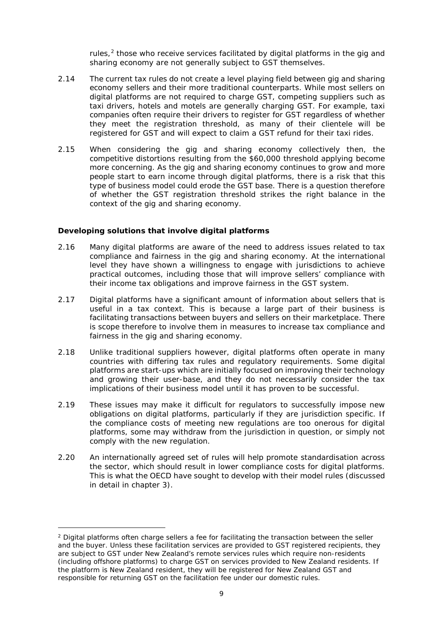rules, $<sup>2</sup>$  $<sup>2</sup>$  $<sup>2</sup>$  those who receive services facilitated by digital platforms in the gig and</sup> sharing economy are not generally subject to GST themselves.

- 2.14 The current tax rules do not create a level playing field between gig and sharing economy sellers and their more traditional counterparts. While most sellers on digital platforms are not required to charge GST, competing suppliers such as taxi drivers, hotels and motels are generally charging GST. For example, taxi companies often require their drivers to register for GST regardless of whether they meet the registration threshold, as many of their clientele will be registered for GST and will expect to claim a GST refund for their taxi rides.
- 2.15 When considering the gig and sharing economy collectively then, the competitive distortions resulting from the \$60,000 threshold applying become more concerning. As the gig and sharing economy continues to grow and more people start to earn income through digital platforms, there is a risk that this type of business model could erode the GST base. There is a question therefore of whether the GST registration threshold strikes the right balance in the context of the gig and sharing economy.

#### <span id="page-8-0"></span>**Developing solutions that involve digital platforms**

- 2.16 Many digital platforms are aware of the need to address issues related to tax compliance and fairness in the gig and sharing economy. At the international level they have shown a willingness to engage with jurisdictions to achieve practical outcomes, including those that will improve sellers' compliance with their income tax obligations and improve fairness in the GST system.
- 2.17 Digital platforms have a significant amount of information about sellers that is useful in a tax context. This is because a large part of their business is facilitating transactions between buyers and sellers on their marketplace. There is scope therefore to involve them in measures to increase tax compliance and fairness in the gig and sharing economy.
- 2.18 Unlike traditional suppliers however, digital platforms often operate in many countries with differing tax rules and regulatory requirements. Some digital platforms are start-ups which are initially focused on improving their technology and growing their user-base, and they do not necessarily consider the tax implications of their business model until it has proven to be successful.
- 2.19 These issues may make it difficult for regulators to successfully impose new obligations on digital platforms, particularly if they are jurisdiction specific. If the compliance costs of meeting new regulations are too onerous for digital platforms, some may withdraw from the jurisdiction in question, or simply not comply with the new regulation.
- 2.20 An internationally agreed set of rules will help promote standardisation across the sector, which should result in lower compliance costs for digital platforms. This is what the OECD have sought to develop with their model rules (discussed in detail in chapter 3).

<span id="page-8-1"></span><sup>&</sup>lt;sup>2</sup> Digital platforms often charge sellers a fee for facilitating the transaction between the seller and the buyer. Unless these facilitation services are provided to GST registered recipients, they are subject to GST under New Zealand's remote services rules which require non-residents (including offshore platforms) to charge GST on services provided to New Zealand residents. If the platform is New Zealand resident, they will be registered for New Zealand GST and responsible for returning GST on the facilitation fee under our domestic rules.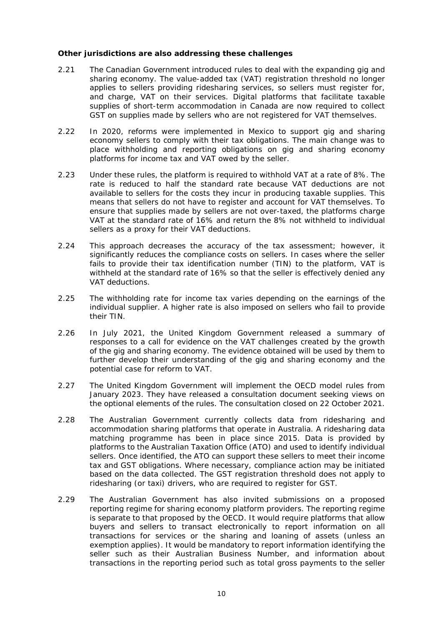#### <span id="page-9-0"></span>**Other jurisdictions are also addressing these challenges**

- 2.21 The Canadian Government introduced rules to deal with the expanding gig and sharing economy. The value-added tax (VAT) registration threshold no longer applies to sellers providing ridesharing services, so sellers must register for, and charge, VAT on their services. Digital platforms that facilitate taxable supplies of short-term accommodation in Canada are now required to collect GST on supplies made by sellers who are not registered for VAT themselves.
- 2.22 In 2020, reforms were implemented in Mexico to support gig and sharing economy sellers to comply with their tax obligations. The main change was to place withholding and reporting obligations on gig and sharing economy platforms for income tax and VAT owed by the seller.
- 2.23 Under these rules, the platform is required to withhold VAT at a rate of 8%. The rate is reduced to half the standard rate because VAT deductions are not available to sellers for the costs they incur in producing taxable supplies. This means that sellers do not have to register and account for VAT themselves. To ensure that supplies made by sellers are not over-taxed, the platforms charge VAT at the standard rate of 16% and return the 8% not withheld to individual sellers as a proxy for their VAT deductions.
- 2.24 This approach decreases the accuracy of the tax assessment; however, it significantly reduces the compliance costs on sellers. In cases where the seller fails to provide their tax identification number (TIN) to the platform, VAT is withheld at the standard rate of 16% so that the seller is effectively denied any VAT deductions.
- 2.25 The withholding rate for income tax varies depending on the earnings of the individual supplier. A higher rate is also imposed on sellers who fail to provide their TIN.
- 2.26 In July 2021, the United Kingdom Government released a summary of responses to a call for evidence on the VAT challenges created by the growth of the gig and sharing economy. The evidence obtained will be used by them to further develop their understanding of the gig and sharing economy and the potential case for reform to VAT.
- 2.27 The United Kingdom Government will implement the OECD model rules from January 2023. They have released a consultation document seeking views on the optional elements of the rules. The consultation closed on 22 October 2021.
- 2.28 The Australian Government currently collects data from ridesharing and accommodation sharing platforms that operate in Australia. A ridesharing data matching programme has been in place since 2015. Data is provided by platforms to the Australian Taxation Office (ATO) and used to identify individual sellers. Once identified, the ATO can support these sellers to meet their income tax and GST obligations. Where necessary, compliance action may be initiated based on the data collected. The GST registration threshold does not apply to ridesharing (or taxi) drivers, who are required to register for GST.
- 2.29 The Australian Government has also invited submissions on a proposed reporting regime for sharing economy platform providers. The reporting regime is separate to that proposed by the OECD. It would require platforms that allow buyers and sellers to transact electronically to report information on all transactions for services or the sharing and loaning of assets (unless an exemption applies). It would be mandatory to report information identifying the seller such as their Australian Business Number, and information about transactions in the reporting period such as total gross payments to the seller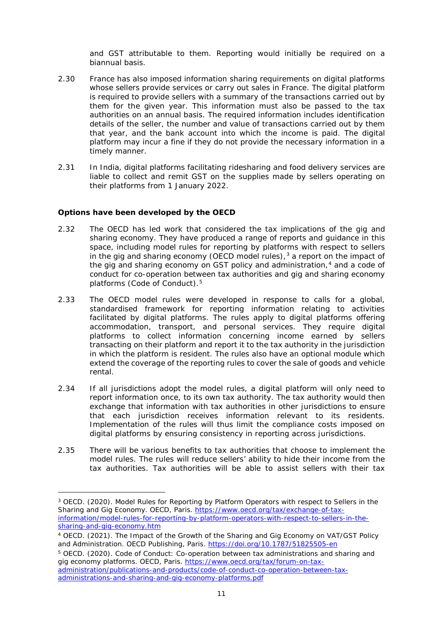and GST attributable to them. Reporting would initially be required on a biannual basis.

- 2.30 France has also imposed information sharing requirements on digital platforms whose sellers provide services or carry out sales in France. The digital platform is required to provide sellers with a summary of the transactions carried out by them for the given year. This information must also be passed to the tax authorities on an annual basis. The required information includes identification details of the seller, the number and value of transactions carried out by them that year, and the bank account into which the income is paid. The digital platform may incur a fine if they do not provide the necessary information in a timely manner.
- 2.31 In India, digital platforms facilitating ridesharing and food delivery services are liable to collect and remit GST on the supplies made by sellers operating on their platforms from 1 January 2022.

#### <span id="page-10-0"></span>**Options have been developed by the OECD**

- 2.32 The OECD has led work that considered the tax implications of the gig and sharing economy. They have produced a range of reports and guidance in this space, including model rules for reporting by platforms with respect to sellers in the gig and sharing economy (OECD model rules),  $3$  a report on the impact of the gig and sharing economy on GST policy and administration, $4$  and a code of conduct for co-operation between tax authorities and gig and sharing economy platforms (Code of Conduct).[5](#page-10-3)
- 2.33 The OECD model rules were developed in response to calls for a global, standardised framework for reporting information relating to activities facilitated by digital platforms. The rules apply to digital platforms offering accommodation, transport, and personal services. They require digital platforms to collect information concerning income earned by sellers transacting on their platform and report it to the tax authority in the jurisdiction in which the platform is resident. The rules also have an optional module which extend the coverage of the reporting rules to cover the sale of goods and vehicle rental.
- 2.34 If all jurisdictions adopt the model rules, a digital platform will only need to report information once, to its own tax authority. The tax authority would then exchange that information with tax authorities in other jurisdictions to ensure that each jurisdiction receives information relevant to its residents. Implementation of the rules will thus limit the compliance costs imposed on digital platforms by ensuring consistency in reporting across jurisdictions.
- 2.35 There will be various benefits to tax authorities that choose to implement the model rules. The rules will reduce sellers' ability to hide their income from the tax authorities. Tax authorities will be able to assist sellers with their tax

<span id="page-10-1"></span><sup>3</sup> OECD. (2020). *Model Rules for Reporting by Platform Operators with respect to Sellers in the Sharing and Gig Economy.* OECD, Paris. [https://www.oecd.org/tax/exchange-of-tax](https://www.oecd.org/tax/exchange-of-tax-information/model-rules-for-reporting-by-platform-operators-with-respect-to-sellers-in-the-sharing-and-gig-economy.htm)[information/model-rules-for-reporting-by-platform-operators-with-respect-to-sellers-in-the](https://www.oecd.org/tax/exchange-of-tax-information/model-rules-for-reporting-by-platform-operators-with-respect-to-sellers-in-the-sharing-and-gig-economy.htm)[sharing-and-gig-economy.htm](https://www.oecd.org/tax/exchange-of-tax-information/model-rules-for-reporting-by-platform-operators-with-respect-to-sellers-in-the-sharing-and-gig-economy.htm)

<span id="page-10-2"></span><sup>4</sup> OECD. (2021). *The Impact of the Growth of the Sharing and Gig Economy on VAT/GST Policy and Administration.* OECD Publishing, Paris.<https://doi.org/10.1787/51825505-en>

<span id="page-10-3"></span><sup>5</sup> OECD. (2020). *Code of Conduct: Co-operation between tax administrations and sharing and gig economy platforms*. OECD, Paris. [https://www.oecd.org/tax/forum-on-tax](https://www.oecd.org/tax/forum-on-tax-administration/publications-and-products/code-of-conduct-co-operation-between-tax-administrations-and-sharing-and-gig-economy-platforms.pdf)[administration/publications-and-products/code-of-conduct-co-operation-between-tax](https://www.oecd.org/tax/forum-on-tax-administration/publications-and-products/code-of-conduct-co-operation-between-tax-administrations-and-sharing-and-gig-economy-platforms.pdf)[administrations-and-sharing-and-gig-economy-platforms.pdf](https://www.oecd.org/tax/forum-on-tax-administration/publications-and-products/code-of-conduct-co-operation-between-tax-administrations-and-sharing-and-gig-economy-platforms.pdf)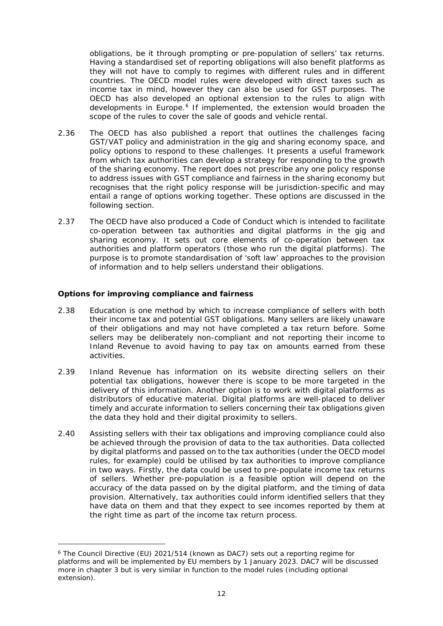obligations, be it through prompting or pre-population of sellers' tax returns. Having a standardised set of reporting obligations will also benefit platforms as they will not have to comply to regimes with different rules and in different countries. The OECD model rules were developed with direct taxes such as income tax in mind, however they can also be used for GST purposes. The OECD has also developed an optional extension to the rules to align with developments in Europe.<sup>[6](#page-11-1)</sup> If implemented, the extension would broaden the scope of the rules to cover the sale of goods and vehicle rental.

- 2.36 The OECD has also published a report that outlines the challenges facing GST/VAT policy and administration in the gig and sharing economy space, and policy options to respond to these challenges. It presents a useful framework from which tax authorities can develop a strategy for responding to the growth of the sharing economy. The report does not prescribe any one policy response to address issues with GST compliance and fairness in the sharing economy but recognises that the right policy response will be jurisdiction-specific and may entail a range of options working together. These options are discussed in the following section.
- 2.37 The OECD have also produced a Code of Conduct which is intended to facilitate co-operation between tax authorities and digital platforms in the gig and sharing economy. It sets out core elements of co-operation between tax authorities and platform operators (those who run the digital platforms). The purpose is to promote standardisation of 'soft law' approaches to the provision of information and to help sellers understand their obligations.

#### <span id="page-11-0"></span>**Options for improving compliance and fairness**

- 2.38 Education is one method by which to increase compliance of sellers with both their income tax and potential GST obligations. Many sellers are likely unaware of their obligations and may not have completed a tax return before. Some sellers may be deliberately non-compliant and not reporting their income to Inland Revenue to avoid having to pay tax on amounts earned from these activities.
- 2.39 Inland Revenue has information on its website directing sellers on their potential tax obligations, however there is scope to be more targeted in the delivery of this information. Another option is to work with digital platforms as distributors of educative material. Digital platforms are well-placed to deliver timely and accurate information to sellers concerning their tax obligations given the data they hold and their digital proximity to sellers.
- 2.40 Assisting sellers with their tax obligations and improving compliance could also be achieved through the provision of data to the tax authorities. Data collected by digital platforms and passed on to the tax authorities (under the OECD model rules, for example) could be utilised by tax authorities to improve compliance in two ways. Firstly, the data could be used to pre-populate income tax returns of sellers. Whether pre-population is a feasible option will depend on the accuracy of the data passed on by the digital platform, and the timing of data provision. Alternatively, tax authorities could inform identified sellers that they have data on them and that they expect to see incomes reported by them at the right time as part of the income tax return process.

<span id="page-11-1"></span><sup>6</sup> The Council Directive (EU) 2021/514 (known as DAC7) sets out a reporting regime for platforms and will be implemented by EU members by 1 January 2023. DAC7 will be discussed more in chapter 3 but is very similar in function to the model rules (including optional extension).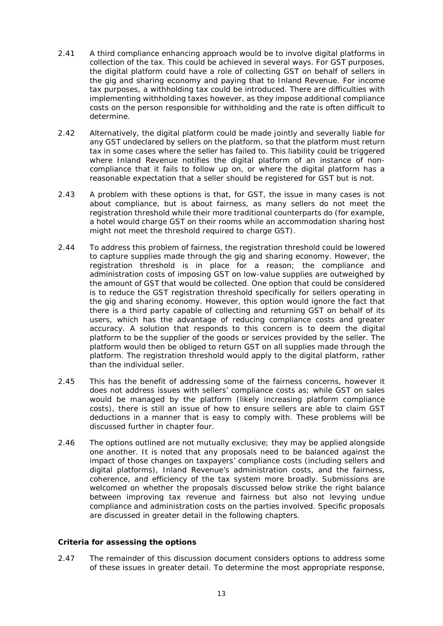- 2.41 A third compliance enhancing approach would be to involve digital platforms in collection of the tax. This could be achieved in several ways. For GST purposes, the digital platform could have a role of collecting GST on behalf of sellers in the gig and sharing economy and paying that to Inland Revenue. For income tax purposes, a withholding tax could be introduced. There are difficulties with implementing withholding taxes however, as they impose additional compliance costs on the person responsible for withholding and the rate is often difficult to determine.
- 2.42 Alternatively, the digital platform could be made jointly and severally liable for any GST undeclared by sellers on the platform, so that the platform must return tax in some cases where the seller has failed to. This liability could be triggered where Inland Revenue notifies the digital platform of an instance of noncompliance that it fails to follow up on, or where the digital platform has a reasonable expectation that a seller should be registered for GST but is not.
- 2.43 A problem with these options is that, for GST, the issue in many cases is not about compliance, but is about fairness, as many sellers do not meet the registration threshold while their more traditional counterparts do (for example, a hotel would charge GST on their rooms while an accommodation sharing host might not meet the threshold required to charge GST).
- 2.44 To address this problem of fairness, the registration threshold could be lowered to capture supplies made through the gig and sharing economy. However, the registration threshold is in place for a reason; the compliance and administration costs of imposing GST on low-value supplies are outweighed by the amount of GST that would be collected. One option that could be considered is to reduce the GST registration threshold specifically for sellers operating in the gig and sharing economy. However, this option would ignore the fact that there is a third party capable of collecting and returning GST on behalf of its users, which has the advantage of reducing compliance costs and greater accuracy. A solution that responds to this concern is to deem the digital platform to be the supplier of the goods or services provided by the seller. The platform would then be obliged to return GST on all supplies made through the platform. The registration threshold would apply to the digital platform, rather than the individual seller.
- 2.45 This has the benefit of addressing some of the fairness concerns, however it does not address issues with sellers' compliance costs as; while GST on sales would be managed by the platform (likely increasing platform compliance costs), there is still an issue of how to ensure sellers are able to claim GST deductions in a manner that is easy to comply with. These problems will be discussed further in chapter four.
- 2.46 The options outlined are not mutually exclusive; they may be applied alongside one another. It is noted that any proposals need to be balanced against the impact of those changes on taxpayers' compliance costs (including sellers and digital platforms), Inland Revenue's administration costs, and the fairness, coherence, and efficiency of the tax system more broadly. Submissions are welcomed on whether the proposals discussed below strike the right balance between improving tax revenue and fairness but also not levying undue compliance and administration costs on the parties involved. Specific proposals are discussed in greater detail in the following chapters.

#### <span id="page-12-0"></span>**Criteria for assessing the options**

2.47 The remainder of this discussion document considers options to address some of these issues in greater detail. To determine the most appropriate response,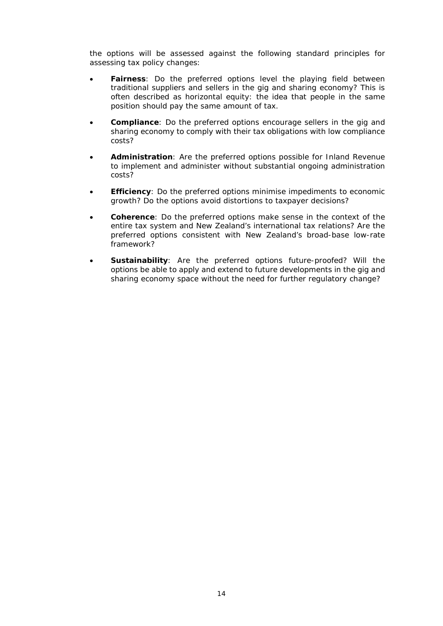the options will be assessed against the following standard principles for assessing tax policy changes:

- **Fairness**: Do the preferred options level the playing field between traditional suppliers and sellers in the gig and sharing economy? This is often described as horizontal equity: the idea that people in the same position should pay the same amount of tax.
- **Compliance**: Do the preferred options encourage sellers in the gig and sharing economy to comply with their tax obligations with low compliance costs?
- **Administration**: Are the preferred options possible for Inland Revenue to implement and administer without substantial ongoing administration costs?
- **Efficiency**: Do the preferred options minimise impediments to economic growth? Do the options avoid distortions to taxpayer decisions?
- **Coherence**: Do the preferred options make sense in the context of the entire tax system and New Zealand's international tax relations? Are the preferred options consistent with New Zealand's broad-base low-rate framework?
- **Sustainability**: Are the preferred options future-proofed? Will the options be able to apply and extend to future developments in the gig and sharing economy space without the need for further regulatory change?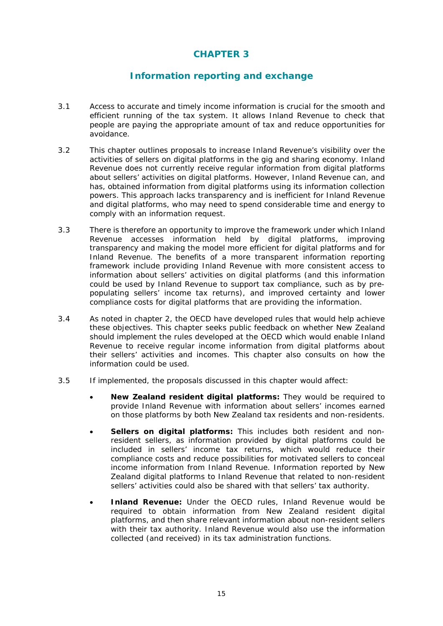# **CHAPTER 3**

# **Information reporting and exchange**

- <span id="page-14-0"></span>3.1 Access to accurate and timely income information is crucial for the smooth and efficient running of the tax system. It allows Inland Revenue to check that people are paying the appropriate amount of tax and reduce opportunities for avoidance.
- 3.2 This chapter outlines proposals to increase Inland Revenue's visibility over the activities of sellers on digital platforms in the gig and sharing economy. Inland Revenue does not currently receive regular information from digital platforms about sellers' activities on digital platforms. However, Inland Revenue can, and has, obtained information from digital platforms using its information collection powers. This approach lacks transparency and is inefficient for Inland Revenue and digital platforms, who may need to spend considerable time and energy to comply with an information request.
- 3.3 There is therefore an opportunity to improve the framework under which Inland Revenue accesses information held by digital platforms, improving transparency and making the model more efficient for digital platforms and for Inland Revenue. The benefits of a more transparent information reporting framework include providing Inland Revenue with more consistent access to information about sellers' activities on digital platforms (and this information could be used by Inland Revenue to support tax compliance, such as by prepopulating sellers' income tax returns), and improved certainty and lower compliance costs for digital platforms that are providing the information.
- 3.4 As noted in chapter 2, the OECD have developed rules that would help achieve these objectives. This chapter seeks public feedback on whether New Zealand should implement the rules developed at the OECD which would enable Inland Revenue to receive regular income information from digital platforms about their sellers' activities and incomes. This chapter also consults on how the information could be used.
- 3.5 If implemented, the proposals discussed in this chapter would affect:
	- **New Zealand resident digital platforms:** They would be required to provide Inland Revenue with information about sellers' incomes earned on those platforms by both New Zealand tax residents and non-residents.
	- **Sellers on digital platforms:** This includes both resident and nonresident sellers, as information provided by digital platforms could be included in sellers' income tax returns, which would reduce their compliance costs and reduce possibilities for motivated sellers to conceal income information from Inland Revenue. Information reported by New Zealand digital platforms to Inland Revenue that related to non-resident sellers' activities could also be shared with that sellers' tax authority.
	- **Inland Revenue:** Under the OECD rules, Inland Revenue would be required to obtain information from New Zealand resident digital platforms, and then share relevant information about non-resident sellers with their tax authority. Inland Revenue would also use the information collected (and received) in its tax administration functions.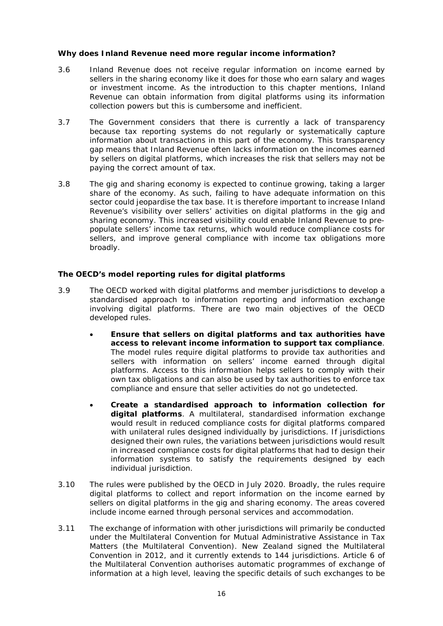#### <span id="page-15-0"></span>**Why does Inland Revenue need more regular income information?**

- 3.6 Inland Revenue does not receive regular information on income earned by sellers in the sharing economy like it does for those who earn salary and wages or investment income. As the introduction to this chapter mentions, Inland Revenue can obtain information from digital platforms using its information collection powers but this is cumbersome and inefficient.
- 3.7 The Government considers that there is currently a lack of transparency because tax reporting systems do not regularly or systematically capture information about transactions in this part of the economy. This transparency gap means that Inland Revenue often lacks information on the incomes earned by sellers on digital platforms, which increases the risk that sellers may not be paying the correct amount of tax.
- 3.8 The gig and sharing economy is expected to continue growing, taking a larger share of the economy. As such, failing to have adequate information on this sector could jeopardise the tax base. It is therefore important to increase Inland Revenue's visibility over sellers' activities on digital platforms in the gig and sharing economy. This increased visibility could enable Inland Revenue to prepopulate sellers' income tax returns, which would reduce compliance costs for sellers, and improve general compliance with income tax obligations more broadly.

#### <span id="page-15-1"></span>**The OECD's model reporting rules for digital platforms**

- 3.9 The OECD worked with digital platforms and member jurisdictions to develop a standardised approach to information reporting and information exchange involving digital platforms. There are two main objectives of the OECD developed rules.
	- **Ensure that sellers on digital platforms and tax authorities have access to relevant income information to support tax compliance**. The model rules require digital platforms to provide tax authorities and sellers with information on sellers' income earned through digital platforms. Access to this information helps sellers to comply with their own tax obligations and can also be used by tax authorities to enforce tax compliance and ensure that seller activities do not go undetected.
	- **Create a standardised approach to information collection for digital platforms**. A multilateral, standardised information exchange would result in reduced compliance costs for digital platforms compared with unilateral rules designed individually by jurisdictions. If jurisdictions designed their own rules, the variations between jurisdictions would result in increased compliance costs for digital platforms that had to design their information systems to satisfy the requirements designed by each individual jurisdiction.
- 3.10 The rules were published by the OECD in July 2020. Broadly, the rules require digital platforms to collect and report information on the income earned by sellers on digital platforms in the gig and sharing economy. The areas covered include income earned through personal services and accommodation.
- 3.11 The exchange of information with other jurisdictions will primarily be conducted under the *Multilateral Convention for Mutual Administrative Assistance in Tax Matters* (the Multilateral Convention). New Zealand signed the Multilateral Convention in 2012, and it currently extends to 144 jurisdictions. Article 6 of the Multilateral Convention authorises automatic programmes of exchange of information at a high level, leaving the specific details of such exchanges to be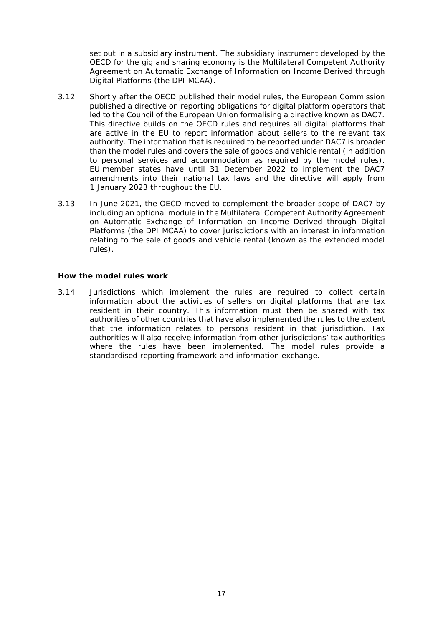set out in a subsidiary instrument. The subsidiary instrument developed by the OECD for the gig and sharing economy is the *Multilateral Competent Authority Agreement on Automatic Exchange of Information on Income Derived through Digital Platforms* (the DPI MCAA).

- 3.12 Shortly after the OECD published their model rules, the European Commission published a directive on reporting obligations for digital platform operators that led to the Council of the European Union formalising a directive known as DAC7. This directive builds on the OECD rules and requires all digital platforms that are active in the EU to report information about sellers to the relevant tax authority. The information that is required to be reported under DAC7 is broader than the model rules and covers the sale of goods and vehicle rental (in addition to personal services and accommodation as required by the model rules). EU member states have until 31 December 2022 to implement the DAC7 amendments into their national tax laws and the directive will apply from 1 January 2023 throughout the EU.
- 3.13 In June 2021, the OECD moved to complement the broader scope of DAC7 by including an optional module in the Multilateral Competent Authority Agreement on Automatic Exchange of Information on Income Derived through Digital Platforms (the DPI MCAA) to cover jurisdictions with an interest in information relating to the sale of goods and vehicle rental (known as the extended model rules).

#### <span id="page-16-0"></span>**How the model rules work**

3.14 Jurisdictions which implement the rules are required to collect certain information about the activities of sellers on digital platforms that are tax resident in their country. This information must then be shared with tax authorities of other countries that have also implemented the rules to the extent that the information relates to persons resident in that jurisdiction. Tax authorities will also receive information from other jurisdictions' tax authorities where the rules have been implemented. The model rules provide a standardised reporting framework and information exchange.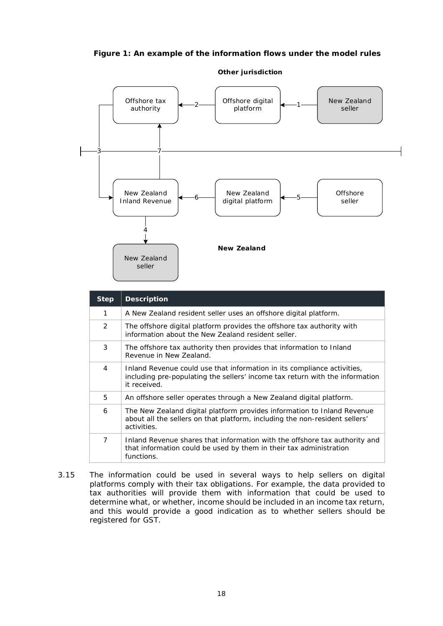## **Figure 1: An example of the information flows under the model rules**



| <b>Step</b> | <b>Description</b>                                                                                                                                                      |
|-------------|-------------------------------------------------------------------------------------------------------------------------------------------------------------------------|
| 1           | A New Zealand resident seller uses an offshore digital platform.                                                                                                        |
| 2           | The offshore digital platform provides the offshore tax authority with<br>information about the New Zealand resident seller.                                            |
| 3           | The offshore tax authority then provides that information to Inland<br>Revenue in New Zealand.                                                                          |
| 4           | Inland Revenue could use that information in its compliance activities,<br>including pre-populating the sellers' income tax return with the information<br>it received. |
| 5           | An offshore seller operates through a New Zealand digital platform.                                                                                                     |
| 6           | The New Zealand digital platform provides information to Inland Revenue<br>about all the sellers on that platform, including the non-resident sellers'<br>activities.   |
| 7           | Inland Revenue shares that information with the offshore tax authority and<br>that information could be used by them in their tax administration<br>functions.          |

3.15 The information could be used in several ways to help sellers on digital platforms comply with their tax obligations. For example, the data provided to tax authorities will provide them with information that could be used to determine what, or whether, income should be included in an income tax return, and this would provide a good indication as to whether sellers should be registered for GST.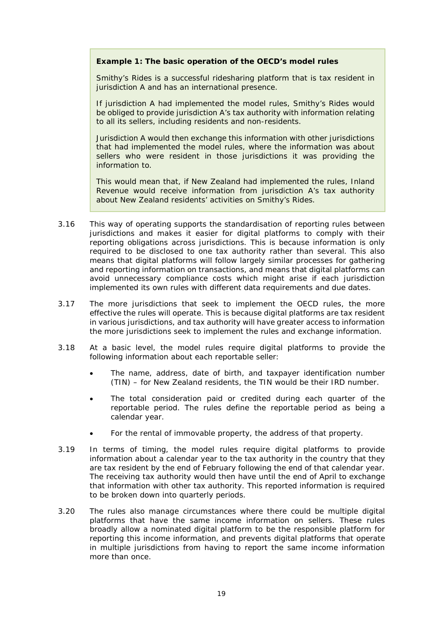#### **Example 1: The basic operation of the OECD's model rules**

Smithy's Rides is a successful ridesharing platform that is tax resident in jurisdiction A and has an international presence.

If jurisdiction A had implemented the model rules, Smithy's Rides would be obliged to provide jurisdiction A's tax authority with information relating to all its sellers, including residents and non-residents.

Jurisdiction A would then exchange this information with other jurisdictions that had implemented the model rules, where the information was about sellers who were resident in those jurisdictions it was providing the information to.

This would mean that, if New Zealand had implemented the rules, Inland Revenue would receive information from jurisdiction A's tax authority about New Zealand residents' activities on Smithy's Rides.

- 3.16 This way of operating supports the standardisation of reporting rules between jurisdictions and makes it easier for digital platforms to comply with their reporting obligations across jurisdictions. This is because information is only required to be disclosed to one tax authority rather than several. This also means that digital platforms will follow largely similar processes for gathering and reporting information on transactions, and means that digital platforms can avoid unnecessary compliance costs which might arise if each jurisdiction implemented its own rules with different data requirements and due dates.
- 3.17 The more jurisdictions that seek to implement the OECD rules, the more effective the rules will operate. This is because digital platforms are tax resident in various jurisdictions, and tax authority will have greater access to information the more jurisdictions seek to implement the rules and exchange information.
- 3.18 At a basic level, the model rules require digital platforms to provide the following information about each reportable seller:
	- The name, address, date of birth, and taxpayer identification number (TIN) – for New Zealand residents, the TIN would be their IRD number.
	- The total consideration paid or credited during each quarter of the reportable period. The rules define the reportable period as being a calendar year.
	- For the rental of immovable property, the address of that property.
- 3.19 In terms of timing, the model rules require digital platforms to provide information about a calendar year to the tax authority in the country that they are tax resident by the end of February following the end of that calendar year. The receiving tax authority would then have until the end of April to exchange that information with other tax authority. This reported information is required to be broken down into quarterly periods.
- 3.20 The rules also manage circumstances where there could be multiple digital platforms that have the same income information on sellers. These rules broadly allow a nominated digital platform to be the responsible platform for reporting this income information, and prevents digital platforms that operate in multiple jurisdictions from having to report the same income information more than once.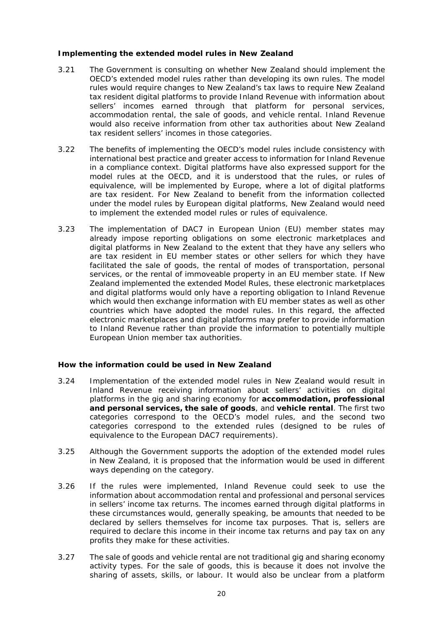#### <span id="page-19-0"></span>**Implementing the extended model rules in New Zealand**

- 3.21 The Government is consulting on whether New Zealand should implement the OECD's extended model rules rather than developing its own rules. The model rules would require changes to New Zealand's tax laws to require New Zealand tax resident digital platforms to provide Inland Revenue with information about sellers' incomes earned through that platform for personal services, accommodation rental, the sale of goods, and vehicle rental. Inland Revenue would also receive information from other tax authorities about New Zealand tax resident sellers' incomes in those categories.
- 3.22 The benefits of implementing the OECD's model rules include consistency with international best practice and greater access to information for Inland Revenue in a compliance context. Digital platforms have also expressed support for the model rules at the OECD, and it is understood that the rules, or rules of equivalence, will be implemented by Europe, where a lot of digital platforms are tax resident. For New Zealand to benefit from the information collected under the model rules by European digital platforms, New Zealand would need to implement the extended model rules or rules of equivalence.
- 3.23 The implementation of DAC7 in European Union (EU) member states may already impose reporting obligations on some electronic marketplaces and digital platforms in New Zealand to the extent that they have any sellers who are tax resident in EU member states or other sellers for which they have facilitated the sale of goods, the rental of modes of transportation, personal services, or the rental of immoveable property in an EU member state. If New Zealand implemented the extended Model Rules, these electronic marketplaces and digital platforms would only have a reporting obligation to Inland Revenue which would then exchange information with EU member states as well as other countries which have adopted the model rules. In this regard, the affected electronic marketplaces and digital platforms may prefer to provide information to Inland Revenue rather than provide the information to potentially multiple European Union member tax authorities.

#### <span id="page-19-1"></span>**How the information could be used in New Zealand**

- 3.24 Implementation of the extended model rules in New Zealand would result in Inland Revenue receiving information about sellers' activities on digital platforms in the gig and sharing economy for **accommodation, professional and personal services, the sale of goods**, and **vehicle rental**. The first two categories correspond to the OECD's model rules, and the second two categories correspond to the extended rules (designed to be rules of equivalence to the European DAC7 requirements).
- 3.25 Although the Government supports the adoption of the extended model rules in New Zealand, it is proposed that the information would be used in different ways depending on the category.
- 3.26 If the rules were implemented, Inland Revenue could seek to use the information about accommodation rental and professional and personal services in sellers' income tax returns. The incomes earned through digital platforms in these circumstances would, generally speaking, be amounts that needed to be declared by sellers themselves for income tax purposes. That is, sellers are required to declare this income in their income tax returns and pay tax on any profits they make for these activities.
- 3.27 The sale of goods and vehicle rental are not traditional gig and sharing economy activity types. For the sale of goods, this is because it does not involve the sharing of assets, skills, or labour. It would also be unclear from a platform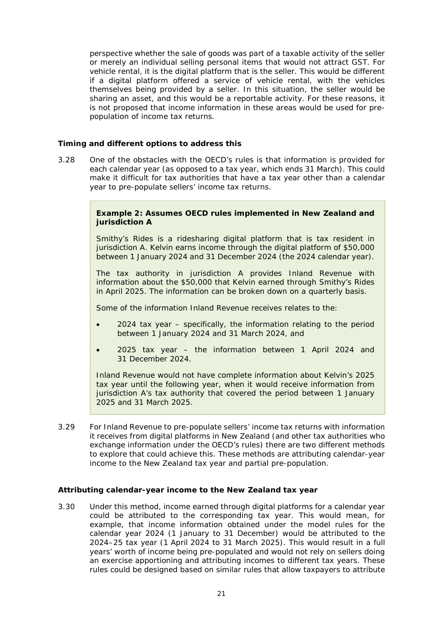perspective whether the sale of goods was part of a taxable activity of the seller or merely an individual selling personal items that would not attract GST. For vehicle rental, it is the digital platform that is the seller. This would be different if a digital platform offered a service of vehicle rental, with the vehicles themselves being provided by a seller. In this situation, the seller would be sharing an asset, and this would be a reportable activity. For these reasons, it is not proposed that income information in these areas would be used for prepopulation of income tax returns.

#### <span id="page-20-0"></span>**Timing and different options to address this**

3.28 One of the obstacles with the OECD's rules is that information is provided for each calendar year (as opposed to a tax year, which ends 31 March). This could make it difficult for tax authorities that have a tax year other than a calendar year to pre-populate sellers' income tax returns.

#### **Example 2: Assumes OECD rules implemented in New Zealand and jurisdiction A**

Smithy's Rides is a ridesharing digital platform that is tax resident in jurisdiction A. Kelvin earns income through the digital platform of \$50,000 between 1 January 2024 and 31 December 2024 (the 2024 calendar year).

The tax authority in jurisdiction A provides Inland Revenue with information about the \$50,000 that Kelvin earned through Smithy's Rides in April 2025. The information can be broken down on a quarterly basis.

Some of the information Inland Revenue receives relates to the:

- 2024 tax year specifically, the information relating to the period between 1 January 2024 and 31 March 2024, and
- 2025 tax year the information between 1 April 2024 and 31 December 2024.

Inland Revenue would not have complete information about Kelvin's 2025 tax year until the following year, when it would receive information from jurisdiction A's tax authority that covered the period between 1 January 2025 and 31 March 2025.

3.29 For Inland Revenue to pre-populate sellers' income tax returns with information it receives from digital platforms in New Zealand (and other tax authorities who exchange information under the OECD's rules) there are two different methods to explore that could achieve this. These methods are attributing calendar-year income to the New Zealand tax year and partial pre-population.

#### <span id="page-20-1"></span>**Attributing calendar-year income to the New Zealand tax year**

3.30 Under this method, income earned through digital platforms for a calendar year could be attributed to the corresponding tax year. This would mean, for example, that income information obtained under the model rules for the calendar year 2024 (1 January to 31 December) would be attributed to the 2024–25 tax year (1 April 2024 to 31 March 2025). This would result in a full years' worth of income being pre-populated and would not rely on sellers doing an exercise apportioning and attributing incomes to different tax years. These rules could be designed based on similar rules that allow taxpayers to attribute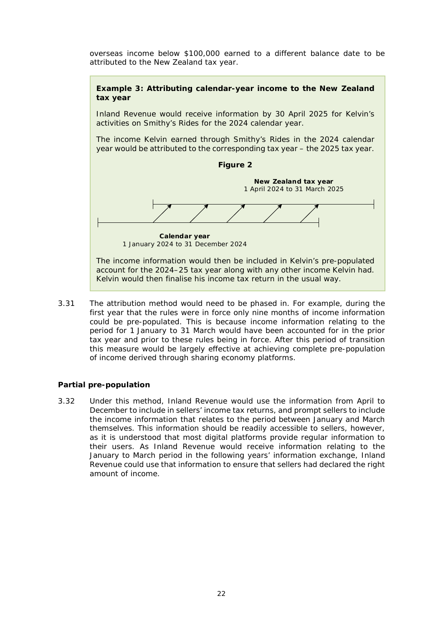overseas income below \$100,000 earned to a different balance date to be attributed to the New Zealand tax year.



3.31 The attribution method would need to be phased in. For example, during the first year that the rules were in force only nine months of income information could be pre-populated. This is because income information relating to the period for 1 January to 31 March would have been accounted for in the prior tax year and prior to these rules being in force. After this period of transition this measure would be largely effective at achieving complete pre-population of income derived through sharing economy platforms.

#### <span id="page-21-0"></span>**Partial pre-population**

3.32 Under this method, Inland Revenue would use the information from April to December to include in sellers' income tax returns, and prompt sellers to include the income information that relates to the period between January and March themselves. This information should be readily accessible to sellers, however, as it is understood that most digital platforms provide regular information to their users. As Inland Revenue would receive information relating to the January to March period in the following years' information exchange, Inland Revenue could use that information to ensure that sellers had declared the right amount of income.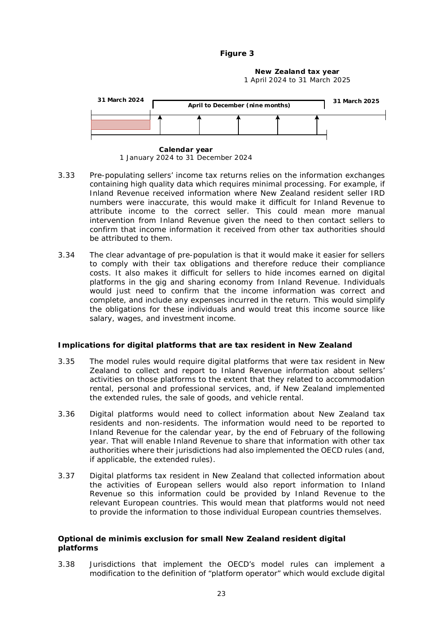**Figure 3**

**New Zealand tax year** 1 April 2024 to 31 March 2025



**Calendar year** 1 January 2024 to 31 December 2024

- 3.33 Pre-populating sellers' income tax returns relies on the information exchanges containing high quality data which requires minimal processing. For example, if Inland Revenue received information where New Zealand resident seller IRD numbers were inaccurate, this would make it difficult for Inland Revenue to attribute income to the correct seller. This could mean more manual intervention from Inland Revenue given the need to then contact sellers to confirm that income information it received from other tax authorities should be attributed to them.
- 3.34 The clear advantage of pre-population is that it would make it easier for sellers to comply with their tax obligations and therefore reduce their compliance costs. It also makes it difficult for sellers to hide incomes earned on digital platforms in the gig and sharing economy from Inland Revenue. Individuals would just need to confirm that the income information was correct and complete, and include any expenses incurred in the return. This would simplify the obligations for these individuals and would treat this income source like salary, wages, and investment income.

## <span id="page-22-0"></span>**Implications for digital platforms that are tax resident in New Zealand**

- 3.35 The model rules would require digital platforms that were tax resident in New Zealand to collect and report to Inland Revenue information about sellers' activities on those platforms to the extent that they related to accommodation rental, personal and professional services, and, if New Zealand implemented the extended rules, the sale of goods, and vehicle rental.
- 3.36 Digital platforms would need to collect information about New Zealand tax residents and non-residents. The information would need to be reported to Inland Revenue for the calendar year, by the end of February of the following year. That will enable Inland Revenue to share that information with other tax authorities where their jurisdictions had also implemented the OECD rules (and, if applicable, the extended rules).
- 3.37 Digital platforms tax resident in New Zealand that collected information about the activities of European sellers would also report information to Inland Revenue so this information could be provided by Inland Revenue to the relevant European countries. This would mean that platforms would not need to provide the information to those individual European countries themselves.

#### <span id="page-22-1"></span>**Optional** *de minimis* **exclusion for small New Zealand resident digital platforms**

3.38 Jurisdictions that implement the OECD's model rules can implement a modification to the definition of "platform operator" which would exclude digital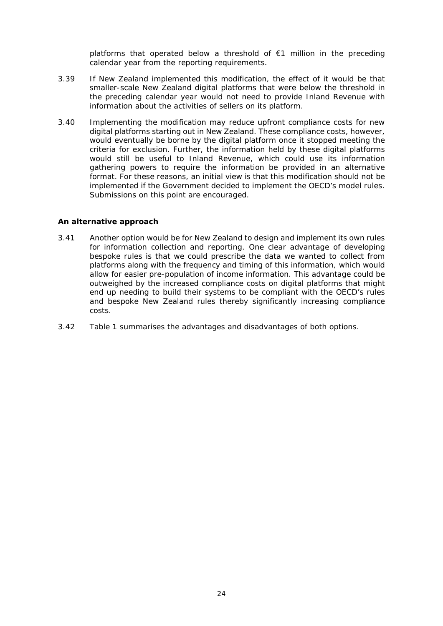platforms that operated below a threshold of €1 million in the preceding calendar year from the reporting requirements.

- 3.39 If New Zealand implemented this modification, the effect of it would be that smaller-scale New Zealand digital platforms that were below the threshold in the preceding calendar year would not need to provide Inland Revenue with information about the activities of sellers on its platform.
- 3.40 Implementing the modification may reduce upfront compliance costs for new digital platforms starting out in New Zealand. These compliance costs, however, would eventually be borne by the digital platform once it stopped meeting the criteria for exclusion. Further, the information held by these digital platforms would still be useful to Inland Revenue, which could use its information gathering powers to require the information be provided in an alternative format. For these reasons, an initial view is that this modification should not be implemented if the Government decided to implement the OECD's model rules. Submissions on this point are encouraged.

#### <span id="page-23-0"></span>**An alternative approach**

- 3.41 Another option would be for New Zealand to design and implement its own rules for information collection and reporting. One clear advantage of developing bespoke rules is that we could prescribe the data we wanted to collect from platforms along with the frequency and timing of this information, which would allow for easier pre-population of income information. This advantage could be outweighed by the increased compliance costs on digital platforms that might end up needing to build their systems to be compliant with the OECD's rules and bespoke New Zealand rules thereby significantly increasing compliance costs.
- 3.42 Table 1 summarises the advantages and disadvantages of both options.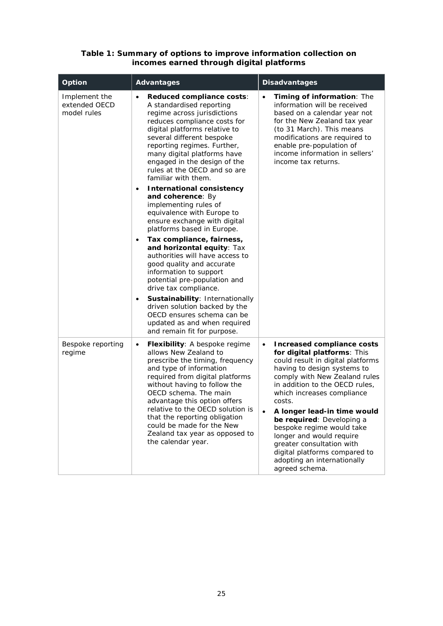#### **Table 1: Summary of options to improve information collection on incomes earned through digital platforms**

| Option                                        | <b>Advantages</b>                                                                                                                                                                                                                                                                                                                                                                                                              | <b>Disadvantages</b>                                                                                                                                                                                                                                                                                                                                                                                                                                                                             |
|-----------------------------------------------|--------------------------------------------------------------------------------------------------------------------------------------------------------------------------------------------------------------------------------------------------------------------------------------------------------------------------------------------------------------------------------------------------------------------------------|--------------------------------------------------------------------------------------------------------------------------------------------------------------------------------------------------------------------------------------------------------------------------------------------------------------------------------------------------------------------------------------------------------------------------------------------------------------------------------------------------|
| Implement the<br>extended OECD<br>model rules | Reduced compliance costs:<br>$\bullet$<br>A standardised reporting<br>regime across jurisdictions<br>reduces compliance costs for<br>digital platforms relative to<br>several different bespoke<br>reporting regimes. Further,<br>many digital platforms have<br>engaged in the design of the<br>rules at the OECD and so are<br>familiar with them.                                                                           | Timing of information: The<br>$\bullet$<br>information will be received<br>based on a calendar year not<br>for the New Zealand tax year<br>(to 31 March). This means<br>modifications are required to<br>enable pre-population of<br>income information in sellers'<br>income tax returns.                                                                                                                                                                                                       |
|                                               | <b>International consistency</b><br>$\bullet$<br>and coherence: By<br>implementing rules of<br>equivalence with Europe to<br>ensure exchange with digital<br>platforms based in Europe.                                                                                                                                                                                                                                        |                                                                                                                                                                                                                                                                                                                                                                                                                                                                                                  |
|                                               | Tax compliance, fairness,<br>$\bullet$<br>and horizontal equity: Tax<br>authorities will have access to<br>good quality and accurate<br>information to support<br>potential pre-population and<br>drive tax compliance.                                                                                                                                                                                                        |                                                                                                                                                                                                                                                                                                                                                                                                                                                                                                  |
|                                               | Sustainability: Internationally<br>$\bullet$<br>driven solution backed by the<br>OECD ensures schema can be<br>updated as and when required<br>and remain fit for purpose.                                                                                                                                                                                                                                                     |                                                                                                                                                                                                                                                                                                                                                                                                                                                                                                  |
| Bespoke reporting<br>regime                   | <b>Flexibility:</b> A bespoke regime<br>$\bullet$<br>allows New Zealand to<br>prescribe the timing, frequency<br>and type of information<br>required from digital platforms<br>without having to follow the<br>OECD schema. The main<br>advantage this option offers<br>relative to the OECD solution is<br>that the reporting obligation<br>could be made for the New<br>Zealand tax year as opposed to<br>the calendar year. | <b>Increased compliance costs</b><br>$\bullet$<br>for digital platforms: This<br>could result in digital platforms<br>having to design systems to<br>comply with New Zealand rules<br>in addition to the OECD rules,<br>which increases compliance<br>costs.<br>A longer lead-in time would<br>be required: Developing a<br>bespoke regime would take<br>longer and would require<br>greater consultation with<br>digital platforms compared to<br>adopting an internationally<br>agreed schema. |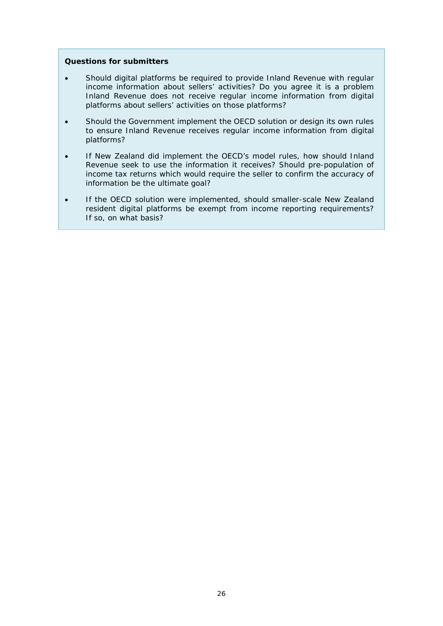#### **Questions for submitters**

- Should digital platforms be required to provide Inland Revenue with regular income information about sellers' activities? Do you agree it is a problem Inland Revenue does not receive regular income information from digital platforms about sellers' activities on those platforms?
- Should the Government implement the OECD solution or design its own rules to ensure Inland Revenue receives regular income information from digital platforms?
- If New Zealand did implement the OECD's model rules, how should Inland Revenue seek to use the information it receives? Should pre-population of income tax returns which would require the seller to confirm the accuracy of information be the ultimate goal?
- If the OECD solution were implemented, should smaller-scale New Zealand resident digital platforms be exempt from income reporting requirements? If so, on what basis?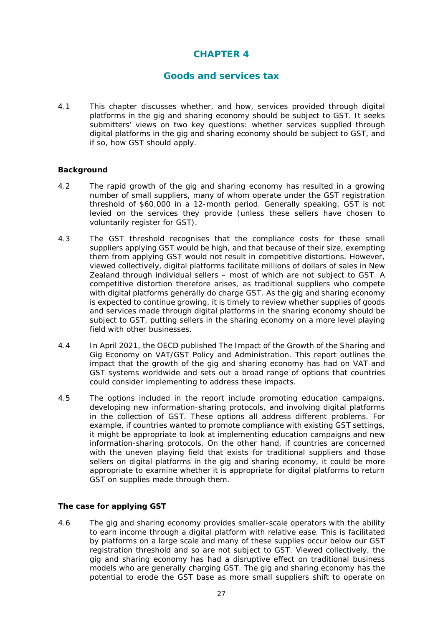# **CHAPTER 4**

## **Goods and services tax**

<span id="page-26-0"></span>4.1 This chapter discusses whether, and how, services provided through digital platforms in the gig and sharing economy should be subject to GST. It seeks submitters' views on two key questions: whether services supplied through digital platforms in the gig and sharing economy should be subject to GST, and if so, how GST should apply.

#### <span id="page-26-1"></span>**Background**

- 4.2 The rapid growth of the gig and sharing economy has resulted in a growing number of small suppliers, many of whom operate under the GST registration threshold of \$60,000 in a 12-month period. Generally speaking, GST is not levied on the services they provide (unless these sellers have chosen to voluntarily register for GST).
- 4.3 The GST threshold recognises that the compliance costs for these small suppliers applying GST would be high, and that because of their size, exempting them from applying GST would not result in competitive distortions. However, viewed collectively, digital platforms facilitate millions of dollars of sales in New Zealand through individual sellers – most of which are not subject to GST. A competitive distortion therefore arises, as traditional suppliers who compete with digital platforms generally do charge GST. As the gig and sharing economy is expected to continue growing, it is timely to review whether supplies of goods and services made through digital platforms in the sharing economy should be subject to GST, putting sellers in the sharing economy on a more level playing field with other businesses.
- 4.4 In April 2021, the OECD published *The Impact of the Growth of the Sharing and Gig Economy on VAT/GST Policy and Administration*. This report outlines the impact that the growth of the gig and sharing economy has had on VAT and GST systems worldwide and sets out a broad range of options that countries could consider implementing to address these impacts.
- 4.5 The options included in the report include promoting education campaigns, developing new information-sharing protocols, and involving digital platforms in the collection of GST. These options all address different problems. For example, if countries wanted to promote compliance with existing GST settings, it might be appropriate to look at implementing education campaigns and new information-sharing protocols. On the other hand, if countries are concerned with the uneven playing field that exists for traditional suppliers and those sellers on digital platforms in the gig and sharing economy, it could be more appropriate to examine whether it is appropriate for digital platforms to return GST on supplies made through them.

#### <span id="page-26-2"></span>**The case for applying GST**

4.6 The gig and sharing economy provides smaller-scale operators with the ability to earn income through a digital platform with relative ease. This is facilitated by platforms on a large scale and many of these supplies occur below our GST registration threshold and so are not subject to GST. Viewed collectively, the gig and sharing economy has had a disruptive effect on traditional business models who are generally charging GST. The gig and sharing economy has the potential to erode the GST base as more small suppliers shift to operate on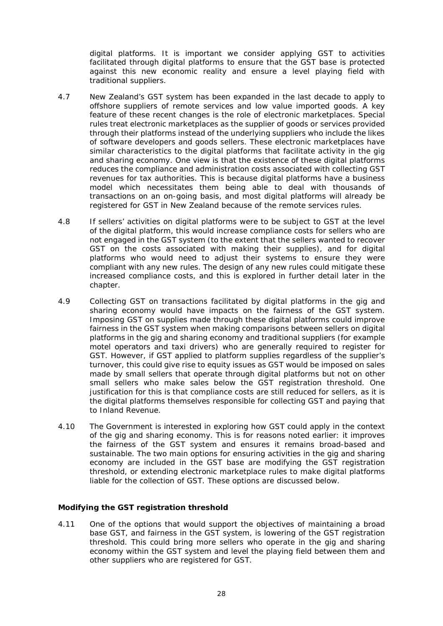digital platforms. It is important we consider applying GST to activities facilitated through digital platforms to ensure that the GST base is protected against this new economic reality and ensure a level playing field with traditional suppliers.

- 4.7 New Zealand's GST system has been expanded in the last decade to apply to offshore suppliers of remote services and low value imported goods. A key feature of these recent changes is the role of electronic marketplaces. Special rules treat electronic marketplaces as the supplier of goods or services provided through their platforms instead of the underlying suppliers who include the likes of software developers and goods sellers. These electronic marketplaces have similar characteristics to the digital platforms that facilitate activity in the gig and sharing economy. One view is that the existence of these digital platforms reduces the compliance and administration costs associated with collecting GST revenues for tax authorities. This is because digital platforms have a business model which necessitates them being able to deal with thousands of transactions on an on-going basis, and most digital platforms will already be registered for GST in New Zealand because of the remote services rules.
- 4.8 If sellers' activities on digital platforms were to be subject to GST at the level of the digital platform, this would increase compliance costs for sellers who are not engaged in the GST system (to the extent that the sellers wanted to recover GST on the costs associated with making their supplies), and for digital platforms who would need to adjust their systems to ensure they were compliant with any new rules. The design of any new rules could mitigate these increased compliance costs, and this is explored in further detail later in the chapter.
- 4.9 Collecting GST on transactions facilitated by digital platforms in the gig and sharing economy would have impacts on the fairness of the GST system. Imposing GST on supplies made through these digital platforms could improve fairness in the GST system when making comparisons between sellers on digital platforms in the gig and sharing economy and traditional suppliers (for example motel operators and taxi drivers) who are generally required to register for GST. However, if GST applied to platform supplies regardless of the supplier's turnover, this could give rise to equity issues as GST would be imposed on sales made by small sellers that operate through digital platforms but not on other small sellers who make sales below the GST registration threshold. One justification for this is that compliance costs are still reduced for sellers, as it is the digital platforms themselves responsible for collecting GST and paying that to Inland Revenue.
- 4.10 The Government is interested in exploring how GST could apply in the context of the gig and sharing economy. This is for reasons noted earlier: it improves the fairness of the GST system and ensures it remains broad-based and sustainable. The two main options for ensuring activities in the gig and sharing economy are included in the GST base are modifying the GST registration threshold, or extending electronic marketplace rules to make digital platforms liable for the collection of GST. These options are discussed below.

#### <span id="page-27-0"></span>**Modifying the GST registration threshold**

4.11 One of the options that would support the objectives of maintaining a broad base GST, and fairness in the GST system, is lowering of the GST registration threshold. This could bring more sellers who operate in the gig and sharing economy within the GST system and level the playing field between them and other suppliers who are registered for GST.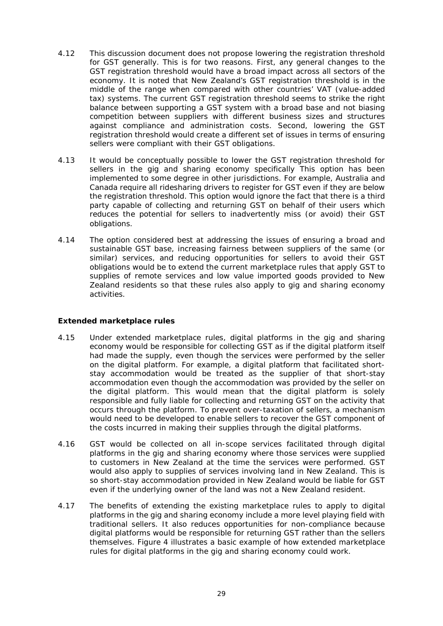- 4.12 This discussion document does not propose lowering the registration threshold for GST generally. This is for two reasons. First, any general changes to the GST registration threshold would have a broad impact across all sectors of the economy. It is noted that New Zealand's GST registration threshold is in the middle of the range when compared with other countries' VAT (value-added tax) systems. The current GST registration threshold seems to strike the right balance between supporting a GST system with a broad base and not biasing competition between suppliers with different business sizes and structures against compliance and administration costs. Second, lowering the GST registration threshold would create a different set of issues in terms of ensuring sellers were compliant with their GST obligations.
- 4.13 It would be conceptually possible to lower the GST registration threshold for sellers in the gig and sharing economy specifically This option has been implemented to some degree in other jurisdictions. For example, Australia and Canada require all ridesharing drivers to register for GST even if they are below the registration threshold. This option would ignore the fact that there is a third party capable of collecting and returning GST on behalf of their users which reduces the potential for sellers to inadvertently miss (or avoid) their GST obligations.
- 4.14 The option considered best at addressing the issues of ensuring a broad and sustainable GST base, increasing fairness between suppliers of the same (or similar) services, and reducing opportunities for sellers to avoid their GST obligations would be to extend the current marketplace rules that apply GST to supplies of remote services and low value imported goods provided to New Zealand residents so that these rules also apply to gig and sharing economy activities.

#### <span id="page-28-0"></span>**Extended marketplace rules**

- 4.15 Under extended marketplace rules, digital platforms in the gig and sharing economy would be responsible for collecting GST as if the digital platform itself had made the supply, even though the services were performed by the seller on the digital platform. For example, a digital platform that facilitated shortstay accommodation would be treated as the supplier of that short-stay accommodation even though the accommodation was provided by the seller on the digital platform. This would mean that the digital platform is solely responsible and fully liable for collecting and returning GST on the activity that occurs through the platform. To prevent over-taxation of sellers, a mechanism would need to be developed to enable sellers to recover the GST component of the costs incurred in making their supplies through the digital platforms.
- 4.16 GST would be collected on all in-scope services facilitated through digital platforms in the gig and sharing economy where those services were supplied to customers in New Zealand at the time the services were performed. GST would also apply to supplies of services involving land in New Zealand. This is so short-stay accommodation provided in New Zealand would be liable for GST even if the underlying owner of the land was not a New Zealand resident.
- 4.17 The benefits of extending the existing marketplace rules to apply to digital platforms in the gig and sharing economy include a more level playing field with traditional sellers. It also reduces opportunities for non-compliance because digital platforms would be responsible for returning GST rather than the sellers themselves. Figure 4 illustrates a basic example of how extended marketplace rules for digital platforms in the gig and sharing economy could work.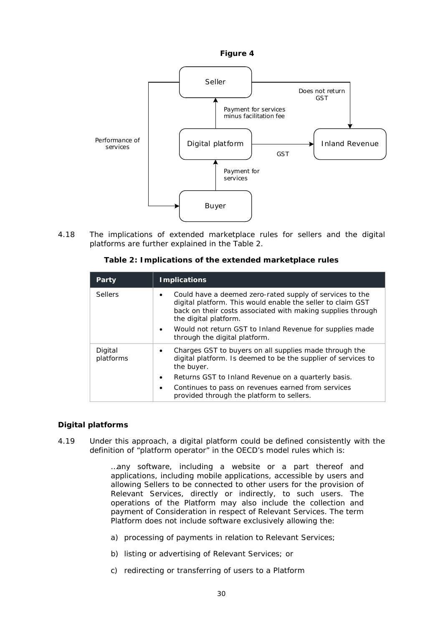



4.18 The implications of extended marketplace rules for sellers and the digital platforms are further explained in the Table 2.

| Party                | <b>Implications</b>                                                                                                                                                                                                  |  |
|----------------------|----------------------------------------------------------------------------------------------------------------------------------------------------------------------------------------------------------------------|--|
| <b>Sellers</b>       | Could have a deemed zero-rated supply of services to the<br>٠<br>digital platform. This would enable the seller to claim GST<br>back on their costs associated with making supplies through<br>the digital platform. |  |
|                      | Would not return GST to Inland Revenue for supplies made<br>٠<br>through the digital platform.                                                                                                                       |  |
| Digital<br>platforms | Charges GST to buyers on all supplies made through the<br>٠<br>digital platform. Is deemed to be the supplier of services to<br>the buyer.                                                                           |  |
|                      | Returns GST to Inland Revenue on a quarterly basis.<br>٠                                                                                                                                                             |  |
|                      | Continues to pass on revenues earned from services<br>٠<br>provided through the platform to sellers.                                                                                                                 |  |

#### **Table 2: Implications of the extended marketplace rules**

#### <span id="page-29-0"></span>**Digital platforms**

4.19 Under this approach, a digital platform could be defined consistently with the definition of "platform operator" in the OECD's model rules which is:

> …any software, including a website or a part thereof and applications, including mobile applications, accessible by users and allowing Sellers to be connected to other users for the provision of Relevant Services, directly or indirectly, to such users. The operations of the Platform may also include the collection and payment of Consideration in respect of Relevant Services. The term Platform does not include software exclusively allowing the:

- a) processing of payments in relation to Relevant Services;
- b) listing or advertising of Relevant Services; or
- c) redirecting or transferring of users to a Platform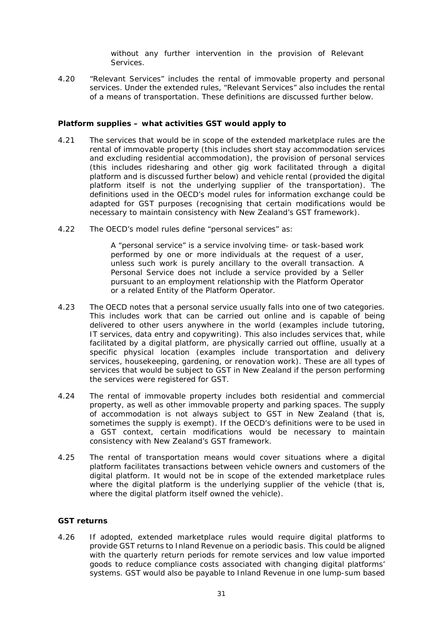without any further intervention in the provision of Relevant **Services** 

4.20 "Relevant Services" includes the rental of immovable property and personal services. Under the extended rules, "Relevant Services" also includes the rental of a means of transportation. These definitions are discussed further below.

#### <span id="page-30-0"></span>**Platform supplies – what activities GST would apply to**

- 4.21 The services that would be in scope of the extended marketplace rules are the rental of immovable property (this includes short stay accommodation services and excluding residential accommodation), the provision of personal services (this includes ridesharing and other gig work facilitated through a digital platform and is discussed further below) and vehicle rental (provided the digital platform itself is not the underlying supplier of the transportation). The definitions used in the OECD's model rules for information exchange could be adapted for GST purposes (recognising that certain modifications would be necessary to maintain consistency with New Zealand's GST framework).
- 4.22 The OECD's model rules define "personal services" as:

A "personal service" is a service involving time- or task-based work performed by one or more individuals at the request of a user, unless such work is purely ancillary to the overall transaction. A Personal Service does not include a service provided by a Seller pursuant to an employment relationship with the Platform Operator or a related Entity of the Platform Operator.

- 4.23 The OECD notes that a personal service usually falls into one of two categories. This includes work that can be carried out online and is capable of being delivered to other users anywhere in the world (examples include tutoring, IT services, data entry and copywriting). This also includes services that, while facilitated by a digital platform, are physically carried out offline, usually at a specific physical location (examples include transportation and delivery services, housekeeping, gardening, or renovation work). These are all types of services that would be subject to GST in New Zealand if the person performing the services were registered for GST.
- 4.24 The rental of immovable property includes both residential and commercial property, as well as other immovable property and parking spaces. The supply of accommodation is not always subject to GST in New Zealand (that is, sometimes the supply is exempt). If the OECD's definitions were to be used in a GST context, certain modifications would be necessary to maintain consistency with New Zealand's GST framework.
- 4.25 The rental of transportation means would cover situations where a digital platform facilitates transactions between vehicle owners and customers of the digital platform. It would not be in scope of the extended marketplace rules where the digital platform is the underlying supplier of the vehicle (that is, where the digital platform itself owned the vehicle).

#### <span id="page-30-1"></span>**GST returns**

4.26 If adopted, extended marketplace rules would require digital platforms to provide GST returns to Inland Revenue on a periodic basis. This could be aligned with the quarterly return periods for remote services and low value imported goods to reduce compliance costs associated with changing digital platforms' systems. GST would also be payable to Inland Revenue in one lump-sum based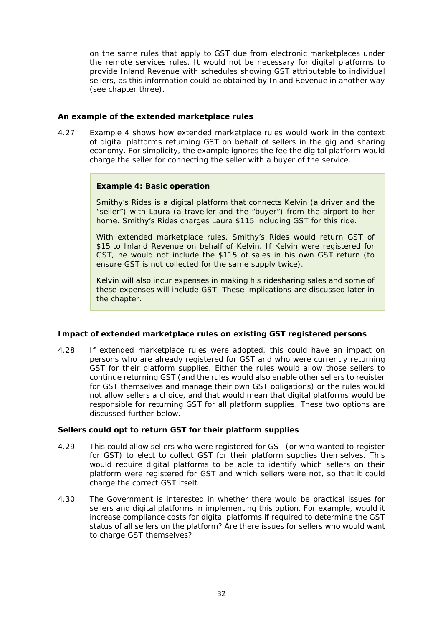on the same rules that apply to GST due from electronic marketplaces under the remote services rules. It would not be necessary for digital platforms to provide Inland Revenue with schedules showing GST attributable to individual sellers, as this information could be obtained by Inland Revenue in another way (see chapter three).

#### <span id="page-31-0"></span>**An example of the extended marketplace rules**

4.27 Example 4 shows how extended marketplace rules would work in the context of digital platforms returning GST on behalf of sellers in the gig and sharing economy. For simplicity, the example ignores the fee the digital platform would charge the seller for connecting the seller with a buyer of the service.

#### **Example 4: Basic operation**

Smithy's Rides is a digital platform that connects Kelvin (a driver and the "seller") with Laura (a traveller and the "buyer") from the airport to her home. Smithy's Rides charges Laura \$115 including GST for this ride.

With extended marketplace rules, Smithy's Rides would return GST of \$15 to Inland Revenue on behalf of Kelvin. If Kelvin were registered for GST, he would not include the \$115 of sales in his own GST return (to ensure GST is not collected for the same supply twice).

Kelvin will also incur expenses in making his ridesharing sales and some of these expenses will include GST. These implications are discussed later in the chapter.

#### <span id="page-31-1"></span>**Impact of extended marketplace rules on existing GST registered persons**

4.28 If extended marketplace rules were adopted, this could have an impact on persons who are already registered for GST and who were currently returning GST for their platform supplies. Either the rules would allow those sellers to continue returning GST (and the rules would also enable other sellers to register for GST themselves and manage their own GST obligations) or the rules would not allow sellers a choice, and that would mean that digital platforms would be responsible for returning GST for all platform supplies. These two options are discussed further below.

#### *Sellers could opt to return GST for their platform supplies*

- 4.29 This could allow sellers who were registered for GST (or who wanted to register for GST) to elect to collect GST for their platform supplies themselves. This would require digital platforms to be able to identify which sellers on their platform were registered for GST and which sellers were not, so that it could charge the correct GST itself.
- 4.30 The Government is interested in whether there would be practical issues for sellers and digital platforms in implementing this option. For example, would it increase compliance costs for digital platforms if required to determine the GST status of all sellers on the platform? Are there issues for sellers who would want to charge GST themselves?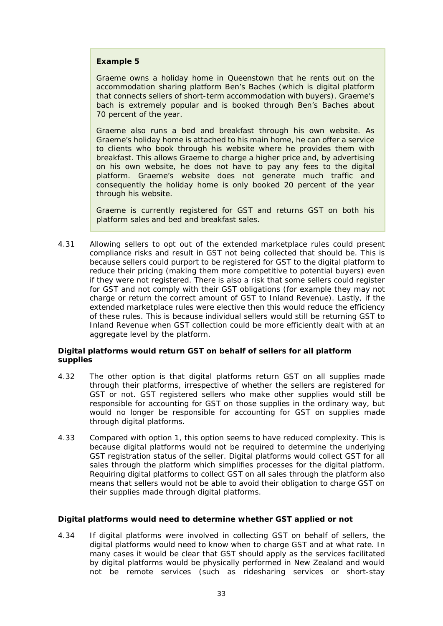#### **Example 5**

Graeme owns a holiday home in Queenstown that he rents out on the accommodation sharing platform Ben's Baches (which is digital platform that connects sellers of short-term accommodation with buyers). Graeme's bach is extremely popular and is booked through Ben's Baches about 70 percent of the year.

Graeme also runs a bed and breakfast through his own website. As Graeme's holiday home is attached to his main home, he can offer a service to clients who book through his website where he provides them with breakfast. This allows Graeme to charge a higher price and, by advertising on his own website, he does not have to pay any fees to the digital platform. Graeme's website does not generate much traffic and consequently the holiday home is only booked 20 percent of the year through his website.

Graeme is currently registered for GST and returns GST on both his platform sales and bed and breakfast sales.

4.31 Allowing sellers to opt out of the extended marketplace rules could present compliance risks and result in GST not being collected that should be. This is because sellers could purport to be registered for GST to the digital platform to reduce their pricing (making them more competitive to potential buyers) even if they were not registered. There is also a risk that some sellers could register for GST and not comply with their GST obligations (for example they may not charge or return the correct amount of GST to Inland Revenue). Lastly, if the extended marketplace rules were elective then this would reduce the efficiency of these rules. This is because individual sellers would still be returning GST to Inland Revenue when GST collection could be more efficiently dealt with at an aggregate level by the platform.

#### *Digital platforms would return GST on behalf of sellers for all platform supplies*

- 4.32 The other option is that digital platforms return GST on all supplies made through their platforms, irrespective of whether the sellers are registered for GST or not. GST registered sellers who make other supplies would still be responsible for accounting for GST on those supplies in the ordinary way, but would no longer be responsible for accounting for GST on supplies made through digital platforms.
- 4.33 Compared with option 1, this option seems to have reduced complexity. This is because digital platforms would not be required to determine the underlying GST registration status of the seller. Digital platforms would collect GST for all sales through the platform which simplifies processes for the digital platform. Requiring digital platforms to collect GST on all sales through the platform also means that sellers would not be able to avoid their obligation to charge GST on their supplies made through digital platforms.

#### <span id="page-32-0"></span>**Digital platforms would need to determine whether GST applied or not**

4.34 If digital platforms were involved in collecting GST on behalf of sellers, the digital platforms would need to know when to charge GST and at what rate. In many cases it would be clear that GST should apply as the services facilitated by digital platforms would be physically performed in New Zealand and would not be remote services (such as ridesharing services or short-stay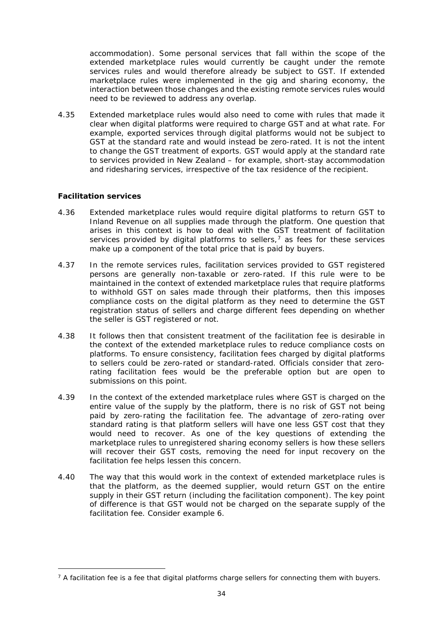accommodation). Some personal services that fall within the scope of the extended marketplace rules would currently be caught under the remote services rules and would therefore already be subject to GST. If extended marketplace rules were implemented in the gig and sharing economy, the interaction between those changes and the existing remote services rules would need to be reviewed to address any overlap.

4.35 Extended marketplace rules would also need to come with rules that made it clear when digital platforms were required to charge GST and at what rate. For example, exported services through digital platforms would not be subject to GST at the standard rate and would instead be zero-rated. It is not the intent to change the GST treatment of exports. GST would apply at the standard rate to services provided in New Zealand – for example, short-stay accommodation and ridesharing services, irrespective of the tax residence of the recipient.

#### <span id="page-33-0"></span>**Facilitation services**

- 4.36 Extended marketplace rules would require digital platforms to return GST to Inland Revenue on all supplies made through the platform. One question that arises in this context is how to deal with the GST treatment of facilitation services provided by digital platforms to sellers, $<sup>7</sup>$  $<sup>7</sup>$  $<sup>7</sup>$  as fees for these services</sup> make up a component of the total price that is paid by buyers.
- 4.37 In the remote services rules, facilitation services provided to GST registered persons are generally non-taxable or zero-rated. If this rule were to be maintained in the context of extended marketplace rules that require platforms to withhold GST on sales made through their platforms, then this imposes compliance costs on the digital platform as they need to determine the GST registration status of sellers and charge different fees depending on whether the seller is GST registered or not.
- 4.38 It follows then that consistent treatment of the facilitation fee is desirable in the context of the extended marketplace rules to reduce compliance costs on platforms. To ensure consistency, facilitation fees charged by digital platforms to sellers could be zero-rated or standard-rated. Officials consider that zerorating facilitation fees would be the preferable option but are open to submissions on this point.
- 4.39 In the context of the extended marketplace rules where GST is charged on the entire value of the supply by the platform, there is no risk of GST not being paid by zero-rating the facilitation fee. The advantage of zero-rating over standard rating is that platform sellers will have one less GST cost that they would need to recover. As one of the key questions of extending the marketplace rules to unregistered sharing economy sellers is how these sellers will recover their GST costs, removing the need for input recovery on the facilitation fee helps lessen this concern.
- 4.40 The way that this would work in the context of extended marketplace rules is that the platform, as the deemed supplier, would return GST on the entire supply in their GST return (including the facilitation component). The key point of difference is that GST would not be charged on the separate supply of the facilitation fee. Consider example 6.

<span id="page-33-1"></span> $7$  A facilitation fee is a fee that digital platforms charge sellers for connecting them with buyers.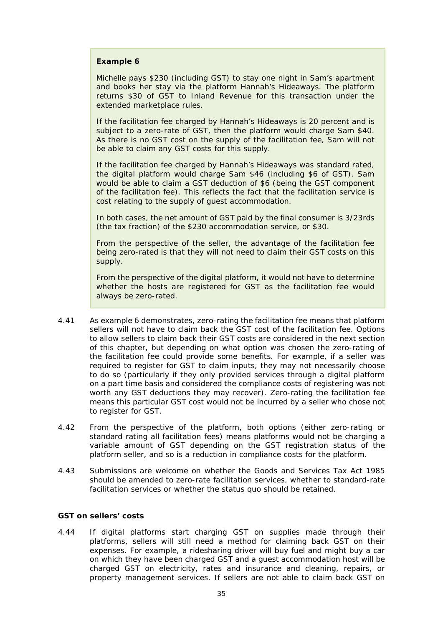#### **Example 6**

Michelle pays \$230 (including GST) to stay one night in Sam's apartment and books her stay via the platform Hannah's Hideaways. The platform returns \$30 of GST to Inland Revenue for this transaction under the extended marketplace rules.

If the facilitation fee charged by Hannah's Hideaways is 20 percent and is subject to a zero-rate of GST, then the platform would charge Sam \$40. As there is no GST cost on the supply of the facilitation fee, Sam will not be able to claim any GST costs for this supply.

If the facilitation fee charged by Hannah's Hideaways was standard rated, the digital platform would charge Sam \$46 (including \$6 of GST). Sam would be able to claim a GST deduction of \$6 (being the GST component of the facilitation fee). This reflects the fact that the facilitation service is cost relating to the supply of guest accommodation.

In both cases, the net amount of GST paid by the final consumer is 3/23rds (the tax fraction) of the \$230 accommodation service, or \$30.

From the perspective of the seller, the advantage of the facilitation fee being zero-rated is that they will not need to claim their GST costs on this supply.

From the perspective of the digital platform, it would not have to determine whether the hosts are registered for GST as the facilitation fee would always be zero-rated.

- 4.41 As example 6 demonstrates, zero-rating the facilitation fee means that platform sellers will not have to claim back the GST cost of the facilitation fee. Options to allow sellers to claim back their GST costs are considered in the next section of this chapter, but depending on what option was chosen the zero-rating of the facilitation fee could provide some benefits. For example, if a seller was required to register for GST to claim inputs, they may not necessarily choose to do so (particularly if they only provided services through a digital platform on a part time basis and considered the compliance costs of registering was not worth any GST deductions they may recover). Zero-rating the facilitation fee means this particular GST cost would not be incurred by a seller who chose not to register for GST.
- 4.42 From the perspective of the platform, both options (either zero-rating or standard rating all facilitation fees) means platforms would not be charging a variable amount of GST depending on the GST registration status of the platform seller, and so is a reduction in compliance costs for the platform.
- 4.43 Submissions are welcome on whether the Goods and Services Tax Act 1985 should be amended to zero-rate facilitation services, whether to standard-rate facilitation services or whether the status quo should be retained.

#### <span id="page-34-0"></span>**GST on sellers' costs**

4.44 If digital platforms start charging GST on supplies made through their platforms, sellers will still need a method for claiming back GST on their expenses. For example, a ridesharing driver will buy fuel and might buy a car on which they have been charged GST and a guest accommodation host will be charged GST on electricity, rates and insurance and cleaning, repairs, or property management services. If sellers are not able to claim back GST on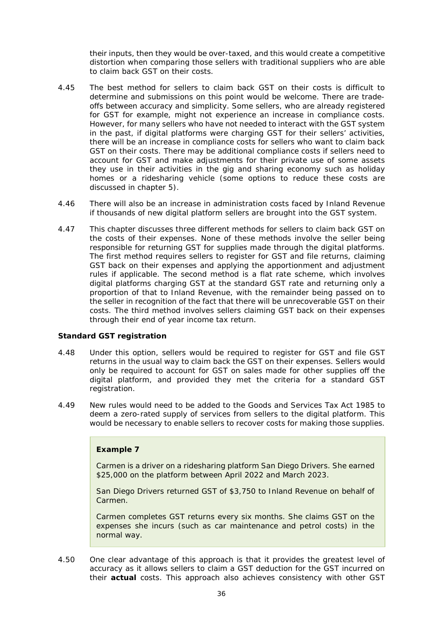their inputs, then they would be over-taxed, and this would create a competitive distortion when comparing those sellers with traditional suppliers who are able to claim back GST on their costs.

- 4.45 The best method for sellers to claim back GST on their costs is difficult to determine and submissions on this point would be welcome. There are tradeoffs between accuracy and simplicity. Some sellers, who are already registered for GST for example, might not experience an increase in compliance costs. However, for many sellers who have not needed to interact with the GST system in the past, if digital platforms were charging GST for their sellers' activities, there will be an increase in compliance costs for sellers who want to claim back GST on their costs. There may be additional compliance costs if sellers need to account for GST and make adjustments for their private use of some assets they use in their activities in the gig and sharing economy such as holiday homes or a ridesharing vehicle (some options to reduce these costs are discussed in chapter 5).
- 4.46 There will also be an increase in administration costs faced by Inland Revenue if thousands of new digital platform sellers are brought into the GST system.
- 4.47 This chapter discusses three different methods for sellers to claim back GST on the costs of their expenses. None of these methods involve the seller being responsible for returning GST for supplies made through the digital platforms. The first method requires sellers to register for GST and file returns, claiming GST back on their expenses and applying the apportionment and adjustment rules if applicable. The second method is a flat rate scheme, which involves digital platforms charging GST at the standard GST rate and returning only a proportion of that to Inland Revenue, with the remainder being passed on to the seller in recognition of the fact that there will be unrecoverable GST on their costs. The third method involves sellers claiming GST back on their expenses through their end of year income tax return.

#### *Standard GST registration*

- 4.48 Under this option, sellers would be required to register for GST and file GST returns in the usual way to claim back the GST on their expenses. Sellers would only be required to account for GST on sales made for other supplies off the digital platform, and provided they met the criteria for a standard GST registration.
- 4.49 New rules would need to be added to the Goods and Services Tax Act 1985 to deem a zero-rated supply of services from sellers to the digital platform. This would be necessary to enable sellers to recover costs for making those supplies.

## **Example 7**

Carmen is a driver on a ridesharing platform San Diego Drivers. She earned \$25,000 on the platform between April 2022 and March 2023.

San Diego Drivers returned GST of \$3,750 to Inland Revenue on behalf of Carmen.

Carmen completes GST returns every six months. She claims GST on the expenses she incurs (such as car maintenance and petrol costs) in the normal way.

4.50 One clear advantage of this approach is that it provides the greatest level of accuracy as it allows sellers to claim a GST deduction for the GST incurred on their **actual** costs. This approach also achieves consistency with other GST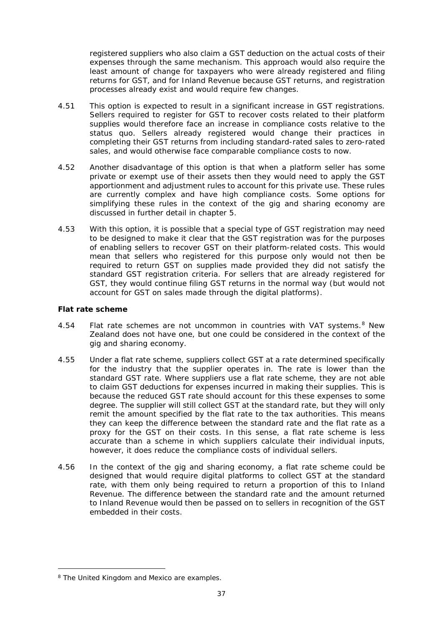registered suppliers who also claim a GST deduction on the actual costs of their expenses through the same mechanism. This approach would also require the least amount of change for taxpayers who were already registered and filing returns for GST, and for Inland Revenue because GST returns, and registration processes already exist and would require few changes.

- 4.51 This option is expected to result in a significant increase in GST registrations. Sellers required to register for GST to recover costs related to their platform supplies would therefore face an increase in compliance costs relative to the status quo. Sellers already registered would change their practices in completing their GST returns from including standard-rated sales to zero-rated sales, and would otherwise face comparable compliance costs to now.
- 4.52 Another disadvantage of this option is that when a platform seller has some private or exempt use of their assets then they would need to apply the GST apportionment and adjustment rules to account for this private use. These rules are currently complex and have high compliance costs. Some options for simplifying these rules in the context of the gig and sharing economy are discussed in further detail in chapter 5.
- 4.53 With this option, it is possible that a special type of GST registration may need to be designed to make it clear that the GST registration was for the purposes of enabling sellers to recover GST on their platform-related costs. This would mean that sellers who registered for this purpose only would not then be required to return GST on supplies made provided they did not satisfy the standard GST registration criteria. For sellers that are already registered for GST, they would continue filing GST returns in the normal way (but would not account for GST on sales made through the digital platforms).

#### *Flat rate scheme*

- 4.54 Flat rate schemes are not uncommon in countries with VAT systems.<sup>[8](#page-36-0)</sup> New Zealand does not have one, but one could be considered in the context of the gig and sharing economy.
- 4.55 Under a flat rate scheme, suppliers collect GST at a rate determined specifically for the industry that the supplier operates in. The rate is lower than the standard GST rate. Where suppliers use a flat rate scheme, they are not able to claim GST deductions for expenses incurred in making their supplies. This is because the reduced GST rate should account for this these expenses to some degree. The supplier will still collect GST at the standard rate, but they will only remit the amount specified by the flat rate to the tax authorities. This means they can keep the difference between the standard rate and the flat rate as a proxy for the GST on their costs. In this sense, a flat rate scheme is less accurate than a scheme in which suppliers calculate their individual inputs, however, it does reduce the compliance costs of individual sellers.
- 4.56 In the context of the gig and sharing economy, a flat rate scheme could be designed that would require digital platforms to collect GST at the standard rate, with them only being required to return a proportion of this to Inland Revenue. The difference between the standard rate and the amount returned to Inland Revenue would then be passed on to sellers in recognition of the GST embedded in their costs.

<span id="page-36-0"></span><sup>8</sup> The United Kingdom and Mexico are examples.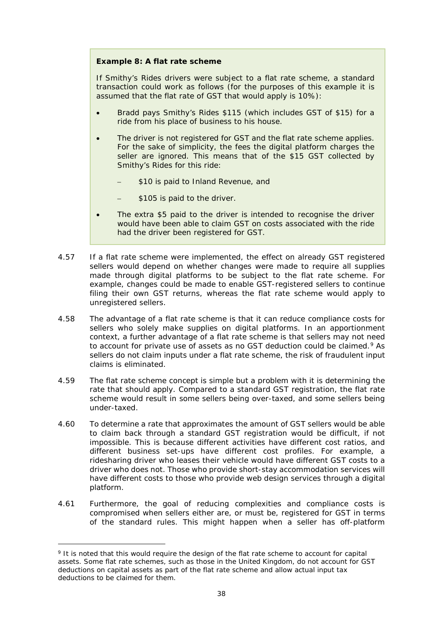#### **Example 8: A flat rate scheme**

If Smithy's Rides drivers were subject to a flat rate scheme, a standard transaction could work as follows (for the purposes of this example it is assumed that the flat rate of GST that would apply is 10%):

- Bradd pays Smithy's Rides \$115 (which includes GST of \$15) for a ride from his place of business to his house.
- The driver is not registered for GST and the flat rate scheme applies. For the sake of simplicity, the fees the digital platform charges the seller are ignored. This means that of the \$15 GST collected by Smithy's Rides for this ride:
	- \$10 is paid to Inland Revenue, and
	- \$105 is paid to the driver.
- The extra \$5 paid to the driver is intended to recognise the driver would have been able to claim GST on costs associated with the ride had the driver been registered for GST.
- 4.57 If a flat rate scheme were implemented, the effect on already GST registered sellers would depend on whether changes were made to require all supplies made through digital platforms to be subject to the flat rate scheme. For example, changes could be made to enable GST-registered sellers to continue filing their own GST returns, whereas the flat rate scheme would apply to unregistered sellers.
- 4.58 The advantage of a flat rate scheme is that it can reduce compliance costs for sellers who solely make supplies on digital platforms. In an apportionment context, a further advantage of a flat rate scheme is that sellers may not need to account for private use of assets as no GST deduction could be claimed.<sup>[9](#page-37-0)</sup> As sellers do not claim inputs under a flat rate scheme, the risk of fraudulent input claims is eliminated.
- 4.59 The flat rate scheme concept is simple but a problem with it is determining the rate that should apply. Compared to a standard GST registration, the flat rate scheme would result in some sellers being over-taxed, and some sellers being under-taxed.
- 4.60 To determine a rate that approximates the amount of GST sellers would be able to claim back through a standard GST registration would be difficult, if not impossible. This is because different activities have different cost ratios, and different business set-ups have different cost profiles. For example, a ridesharing driver who leases their vehicle would have different GST costs to a driver who does not. Those who provide short-stay accommodation services will have different costs to those who provide web design services through a digital platform.
- 4.61 Furthermore, the goal of reducing complexities and compliance costs is compromised when sellers either are, or must be, registered for GST in terms of the standard rules. This might happen when a seller has off-platform

<span id="page-37-0"></span><sup>&</sup>lt;sup>9</sup> It is noted that this would require the design of the flat rate scheme to account for capital assets. Some flat rate schemes, such as those in the United Kingdom, do not account for GST deductions on capital assets as part of the flat rate scheme and allow actual input tax deductions to be claimed for them.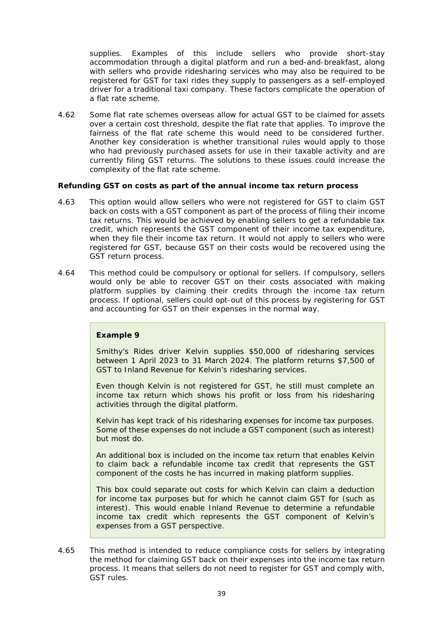supplies. Examples of this include sellers who provide short-stay accommodation through a digital platform and run a bed-and-breakfast, along with sellers who provide ridesharing services who may also be required to be registered for GST for taxi rides they supply to passengers as a self-employed driver for a traditional taxi company. These factors complicate the operation of a flat rate scheme.

4.62 Some flat rate schemes overseas allow for actual GST to be claimed for assets over a certain cost threshold, despite the flat rate that applies. To improve the fairness of the flat rate scheme this would need to be considered further. Another key consideration is whether transitional rules would apply to those who had previously purchased assets for use in their taxable activity and are currently filing GST returns. The solutions to these issues could increase the complexity of the flat rate scheme.

#### *Refunding GST on costs as part of the annual income tax return process*

- 4.63 This option would allow sellers who were not registered for GST to claim GST back on costs with a GST component as part of the process of filing their income tax returns. This would be achieved by enabling sellers to get a refundable tax credit, which represents the GST component of their income tax expenditure, when they file their income tax return. It would not apply to sellers who were registered for GST, because GST on their costs would be recovered using the GST return process.
- 4.64 This method could be compulsory or optional for sellers. If compulsory, sellers would only be able to recover GST on their costs associated with making platform supplies by claiming their credits through the income tax return process. If optional, sellers could opt-out of this process by registering for GST and accounting for GST on their expenses in the normal way.

#### **Example 9**

Smithy's Rides driver Kelvin supplies \$50,000 of ridesharing services between 1 April 2023 to 31 March 2024. The platform returns \$7,500 of GST to Inland Revenue for Kelvin's ridesharing services.

Even though Kelvin is not registered for GST, he still must complete an income tax return which shows his profit or loss from his ridesharing activities through the digital platform.

Kelvin has kept track of his ridesharing expenses for income tax purposes. Some of these expenses do not include a GST component (such as interest) but most do.

An additional box is included on the income tax return that enables Kelvin to claim back a refundable income tax credit that represents the GST component of the costs he has incurred in making platform supplies.

This box could separate out costs for which Kelvin can claim a deduction for income tax purposes but for which he cannot claim GST for (such as interest). This would enable Inland Revenue to determine a refundable income tax credit which represents the GST component of Kelvin's expenses from a GST perspective.

4.65 This method is intended to reduce compliance costs for sellers by integrating the method for claiming GST back on their expenses into the income tax return process. It means that sellers do not need to register for GST and comply with, GST rules.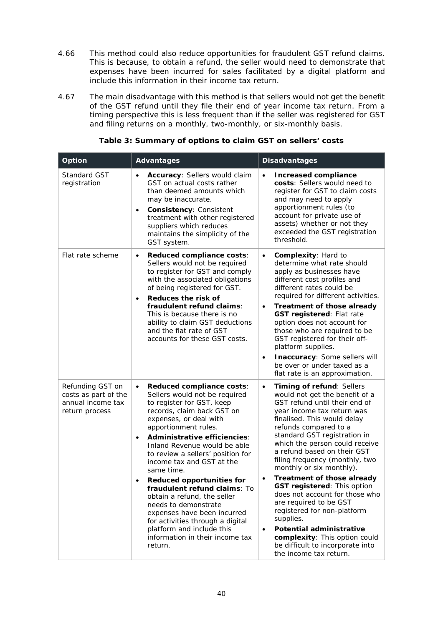- 4.66 This method could also reduce opportunities for fraudulent GST refund claims. This is because, to obtain a refund, the seller would need to demonstrate that expenses have been incurred for sales facilitated by a digital platform and include this information in their income tax return.
- 4.67 The main disadvantage with this method is that sellers would not get the benefit of the GST refund until they file their end of year income tax return. From a timing perspective this is less frequent than if the seller was registered for GST and filing returns on a monthly, two-monthly, or six-monthly basis.

| Option                                                                          | <b>Advantages</b>                                                                                                                                                                                                                                                                                                                                                                                                                                                                                                                                                                                                                       | <b>Disadvantages</b>                                                                                                                                                                                                                                                                                                                                                                                                                                                                                                                                                                                                                                                                                          |
|---------------------------------------------------------------------------------|-----------------------------------------------------------------------------------------------------------------------------------------------------------------------------------------------------------------------------------------------------------------------------------------------------------------------------------------------------------------------------------------------------------------------------------------------------------------------------------------------------------------------------------------------------------------------------------------------------------------------------------------|---------------------------------------------------------------------------------------------------------------------------------------------------------------------------------------------------------------------------------------------------------------------------------------------------------------------------------------------------------------------------------------------------------------------------------------------------------------------------------------------------------------------------------------------------------------------------------------------------------------------------------------------------------------------------------------------------------------|
| <b>Standard GST</b><br>registration                                             | Accuracy: Sellers would claim<br>$\bullet$<br>GST on actual costs rather<br>than deemed amounts which<br>may be inaccurate.<br>Consistency: Consistent<br>$\bullet$<br>treatment with other registered<br>suppliers which reduces<br>maintains the simplicity of the<br>GST system.                                                                                                                                                                                                                                                                                                                                                     | <b>Increased compliance</b><br>$\bullet$<br>costs: Sellers would need to<br>register for GST to claim costs<br>and may need to apply<br>apportionment rules (to<br>account for private use of<br>assets) whether or not they<br>exceeded the GST registration<br>threshold.                                                                                                                                                                                                                                                                                                                                                                                                                                   |
| Flat rate scheme                                                                | Reduced compliance costs:<br>$\bullet$<br>Sellers would not be required<br>to register for GST and comply<br>with the associated obligations<br>of being registered for GST.<br>Reduces the risk of<br>$\bullet$<br>fraudulent refund claims:<br>This is because there is no<br>ability to claim GST deductions<br>and the flat rate of GST<br>accounts for these GST costs.                                                                                                                                                                                                                                                            | Complexity: Hard to<br>$\bullet$<br>determine what rate should<br>apply as businesses have<br>different cost profiles and<br>different rates could be<br>required for different activities.<br>Treatment of those already<br>$\bullet$<br><b>GST registered: Flat rate</b><br>option does not account for<br>those who are required to be<br>GST registered for their off-<br>platform supplies.<br>Inaccuracy: Some sellers will<br>$\bullet$<br>be over or under taxed as a<br>flat rate is an approximation.                                                                                                                                                                                               |
| Refunding GST on<br>costs as part of the<br>annual income tax<br>return process | Reduced compliance costs:<br>$\bullet$<br>Sellers would not be required<br>to register for GST, keep<br>records, claim back GST on<br>expenses, or deal with<br>apportionment rules.<br>Administrative efficiencies:<br>$\bullet$<br>Inland Revenue would be able<br>to review a sellers' position for<br>income tax and GST at the<br>same time.<br><b>Reduced opportunities for</b><br>$\bullet$<br>fraudulent refund claims: To<br>obtain a refund, the seller<br>needs to demonstrate<br>expenses have been incurred<br>for activities through a digital<br>platform and include this<br>information in their income tax<br>return. | Timing of refund: Sellers<br>$\bullet$<br>would not get the benefit of a<br>GST refund until their end of<br>year income tax return was<br>finalised. This would delay<br>refunds compared to a<br>standard GST registration in<br>which the person could receive<br>a refund based on their GST<br>filing frequency (monthly, two<br>monthly or six monthly).<br><b>Treatment of those already</b><br>$\bullet$<br><b>GST registered: This option</b><br>does not account for those who<br>are required to be GST<br>registered for non-platform<br>supplies.<br><b>Potential administrative</b><br>$\bullet$<br>complexity: This option could<br>be difficult to incorporate into<br>the income tax return. |

## **Table 3: Summary of options to claim GST on sellers' costs**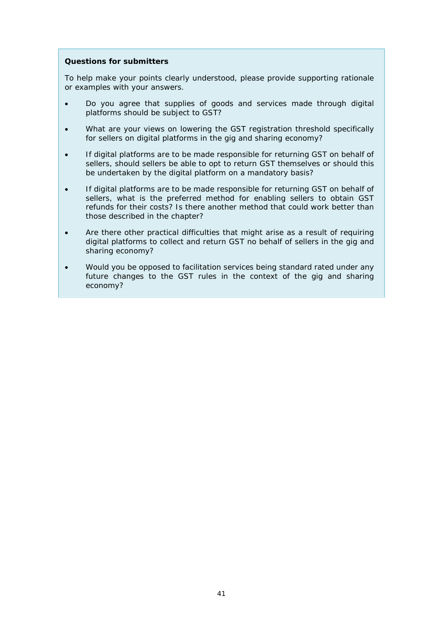## **Questions for submitters**

To help make your points clearly understood, please provide supporting rationale or examples with your answers.

- Do you agree that supplies of goods and services made through digital platforms should be subject to GST?
- What are your views on lowering the GST registration threshold specifically for sellers on digital platforms in the gig and sharing economy?
- If digital platforms are to be made responsible for returning GST on behalf of sellers, should sellers be able to opt to return GST themselves or should this be undertaken by the digital platform on a mandatory basis?
- If digital platforms are to be made responsible for returning GST on behalf of sellers, what is the preferred method for enabling sellers to obtain GST refunds for their costs? Is there another method that could work better than those described in the chapter?
- Are there other practical difficulties that might arise as a result of requiring digital platforms to collect and return GST no behalf of sellers in the gig and sharing economy?
- Would you be opposed to facilitation services being standard rated under any future changes to the GST rules in the context of the gig and sharing economy?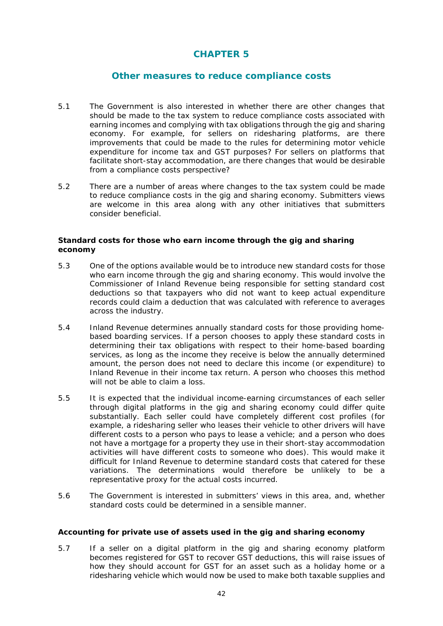# **CHAPTER 5**

## **Other measures to reduce compliance costs**

- <span id="page-41-0"></span>5.1 The Government is also interested in whether there are other changes that should be made to the tax system to reduce compliance costs associated with earning incomes and complying with tax obligations through the gig and sharing economy. For example, for sellers on ridesharing platforms, are there improvements that could be made to the rules for determining motor vehicle expenditure for income tax and GST purposes? For sellers on platforms that facilitate short-stay accommodation, are there changes that would be desirable from a compliance costs perspective?
- 5.2 There are a number of areas where changes to the tax system could be made to reduce compliance costs in the gig and sharing economy. Submitters views are welcome in this area along with any other initiatives that submitters consider beneficial.

#### <span id="page-41-1"></span>**Standard costs for those who earn income through the gig and sharing economy**

- 5.3 One of the options available would be to introduce new standard costs for those who earn income through the gig and sharing economy. This would involve the Commissioner of Inland Revenue being responsible for setting standard cost deductions so that taxpayers who did not want to keep actual expenditure records could claim a deduction that was calculated with reference to averages across the industry.
- 5.4 Inland Revenue determines annually standard costs for those providing homebased boarding services. If a person chooses to apply these standard costs in determining their tax obligations with respect to their home-based boarding services, as long as the income they receive is below the annually determined amount, the person does not need to declare this income (or expenditure) to Inland Revenue in their income tax return. A person who chooses this method will not be able to claim a loss.
- 5.5 It is expected that the individual income-earning circumstances of each seller through digital platforms in the gig and sharing economy could differ quite substantially. Each seller could have completely different cost profiles (for example, a ridesharing seller who leases their vehicle to other drivers will have different costs to a person who pays to lease a vehicle; and a person who does not have a mortgage for a property they use in their short-stay accommodation activities will have different costs to someone who does). This would make it difficult for Inland Revenue to determine standard costs that catered for these variations. The determinations would therefore be unlikely to be a representative proxy for the actual costs incurred.
- 5.6 The Government is interested in submitters' views in this area, and, whether standard costs could be determined in a sensible manner.

#### <span id="page-41-2"></span>**Accounting for private use of assets used in the gig and sharing economy**

5.7 If a seller on a digital platform in the gig and sharing economy platform becomes registered for GST to recover GST deductions, this will raise issues of how they should account for GST for an asset such as a holiday home or a ridesharing vehicle which would now be used to make both taxable supplies and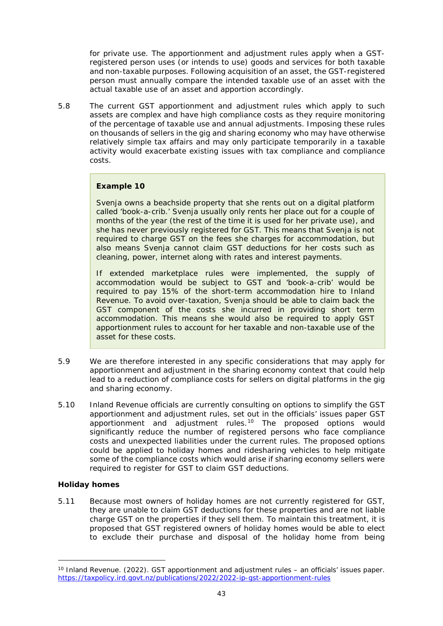for private use. The apportionment and adjustment rules apply when a GSTregistered person uses (or intends to use) goods and services for both taxable and non-taxable purposes. Following acquisition of an asset, the GST-registered person must annually compare the intended taxable use of an asset with the actual taxable use of an asset and apportion accordingly.

5.8 The current GST apportionment and adjustment rules which apply to such assets are complex and have high compliance costs as they require monitoring of the percentage of taxable use and annual adjustments. Imposing these rules on thousands of sellers in the gig and sharing economy who may have otherwise relatively simple tax affairs and may only participate temporarily in a taxable activity would exacerbate existing issues with tax compliance and compliance costs.

#### **Example 10**

Svenja owns a beachside property that she rents out on a digital platform called 'book-a-crib.' Svenja usually only rents her place out for a couple of months of the year (the rest of the time it is used for her private use), and she has never previously registered for GST. This means that Svenja is not required to charge GST on the fees she charges for accommodation, but also means Svenja cannot claim GST deductions for her costs such as cleaning, power, internet along with rates and interest payments.

If extended marketplace rules were implemented, the supply of accommodation would be subject to GST and 'book-a-crib' would be required to pay 15% of the short-term accommodation hire to Inland Revenue. To avoid over-taxation, Svenja should be able to claim back the GST component of the costs she incurred in providing short term accommodation. This means she would also be required to apply GST apportionment rules to account for her taxable and non-taxable use of the asset for these costs.

- 5.9 We are therefore interested in any specific considerations that may apply for apportionment and adjustment in the sharing economy context that could help lead to a reduction of compliance costs for sellers on digital platforms in the gig and sharing economy.
- 5.10 Inland Revenue officials are currently consulting on options to simplify the GST apportionment and adjustment rules, set out in the officials' issues paper *GST apportionment and adjustment rules*.[10](#page-42-0) The proposed options would significantly reduce the number of registered persons who face compliance costs and unexpected liabilities under the current rules. The proposed options could be applied to holiday homes and ridesharing vehicles to help mitigate some of the compliance costs which would arise if sharing economy sellers were required to register for GST to claim GST deductions.

#### *Holiday homes*

5.11 Because most owners of holiday homes are not currently registered for GST, they are unable to claim GST deductions for these properties and are not liable charge GST on the properties if they sell them. To maintain this treatment, it is proposed that GST registered owners of holiday homes would be able to elect to exclude their purchase and disposal of the holiday home from being

<span id="page-42-0"></span><sup>10</sup> Inland Revenue. (2022). *GST apportionment and adjustment rules – an officials' issues paper*. <https://taxpolicy.ird.govt.nz/publications/2022/2022-ip-gst-apportionment-rules>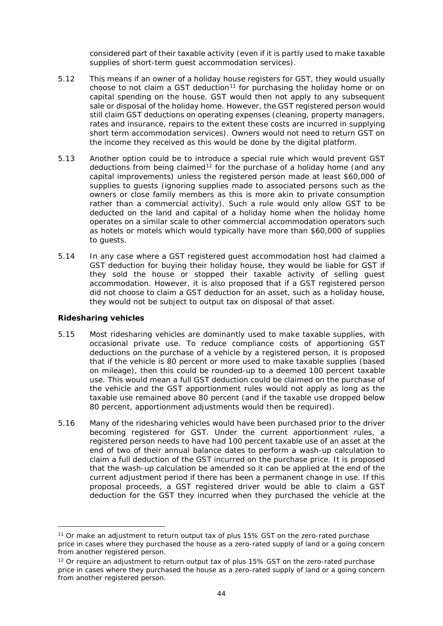considered part of their taxable activity (even if it is partly used to make taxable supplies of short-term guest accommodation services).

- 5.12 This means if an owner of a holiday house registers for GST, they would usually choose to not claim a GST deduction<sup>[11](#page-43-0)</sup> for purchasing the holiday home or on capital spending on the house. GST would then not apply to any subsequent sale or disposal of the holiday home. However, the GST registered person would still claim GST deductions on operating expenses (cleaning, property managers, rates and insurance, repairs to the extent these costs are incurred in supplying short term accommodation services). Owners would not need to return GST on the income they received as this would be done by the digital platform.
- 5.13 Another option could be to introduce a special rule which would prevent GST deductions from being claimed<sup>[12](#page-43-1)</sup> for the purchase of a holiday home (and any capital improvements) unless the registered person made at least \$60,000 of supplies to guests (ignoring supplies made to associated persons such as the owners or close family members as this is more akin to private consumption rather than a commercial activity). Such a rule would only allow GST to be deducted on the land and capital of a holiday home when the holiday home operates on a similar scale to other commercial accommodation operators such as hotels or motels which would typically have more than \$60,000 of supplies to guests.
- 5.14 In any case where a GST registered guest accommodation host had claimed a GST deduction for buying their holiday house, they would be liable for GST if they sold the house or stopped their taxable activity of selling guest accommodation. However, it is also proposed that if a GST registered person did not choose to claim a GST deduction for an asset, such as a holiday house, they would not be subject to output tax on disposal of that asset.

#### *Ridesharing vehicles*

- 5.15 Most ridesharing vehicles are dominantly used to make taxable supplies, with occasional private use. To reduce compliance costs of apportioning GST deductions on the purchase of a vehicle by a registered person, it is proposed that if the vehicle is 80 percent or more used to make taxable supplies (based on mileage), then this could be rounded-up to a deemed 100 percent taxable use. This would mean a full GST deduction could be claimed on the purchase of the vehicle and the GST apportionment rules would not apply as long as the taxable use remained above 80 percent (and if the taxable use dropped below 80 percent, apportionment adjustments would then be required).
- 5.16 Many of the ridesharing vehicles would have been purchased prior to the driver becoming registered for GST. Under the current apportionment rules, a registered person needs to have had 100 percent taxable use of an asset at the end of two of their annual balance dates to perform a wash-up calculation to claim a full deduction of the GST incurred on the purchase price. It is proposed that the wash-up calculation be amended so it can be applied at the end of the current adjustment period if there has been a permanent change in use. If this proposal proceeds, a GST registered driver would be able to claim a GST deduction for the GST they incurred when they purchased the vehicle at the

<span id="page-43-0"></span><sup>&</sup>lt;sup>11</sup> Or make an adjustment to return output tax of plus 15% GST on the zero-rated purchase price in cases where they purchased the house as a zero-rated supply of land or a going concern from another registered person.

<span id="page-43-1"></span> $12$  Or require an adjustment to return output tax of plus 15% GST on the zero-rated purchase price in cases where they purchased the house as a zero-rated supply of land or a going concern from another registered person.